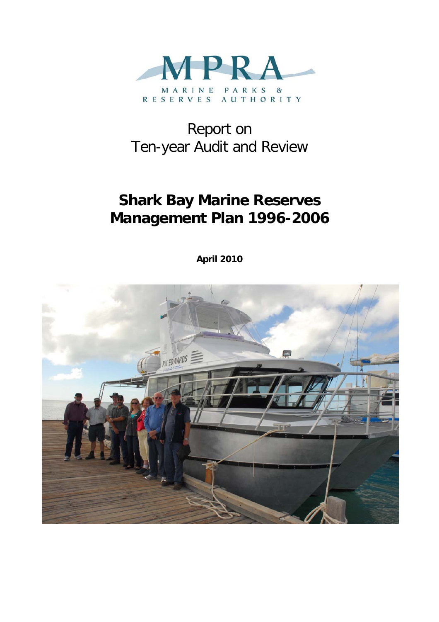

# Report on Ten-year Audit and Review

# **Shark Bay Marine Reserves Management Plan 1996-2006**

**April 2010** 

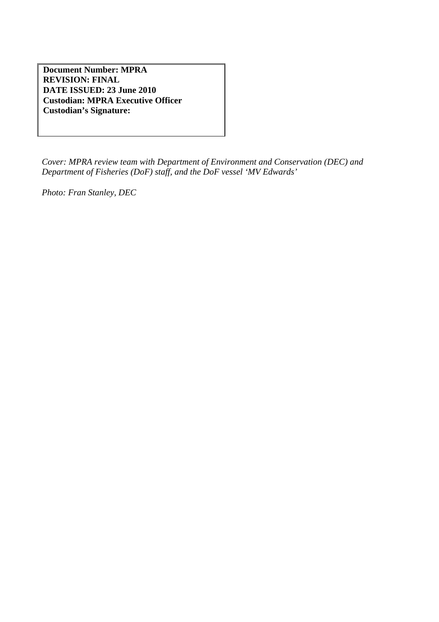**Document Number: MPRA REVISION: FINAL DATE ISSUED: 23 June 2010 Custodian: MPRA Executive Officer Custodian's Signature:** 

*Cover: MPRA review team with Department of Environment and Conservation (DEC) and Department of Fisheries (DoF) staff, and the DoF vessel 'MV Edwards'* 

*Photo: Fran Stanley, DEC*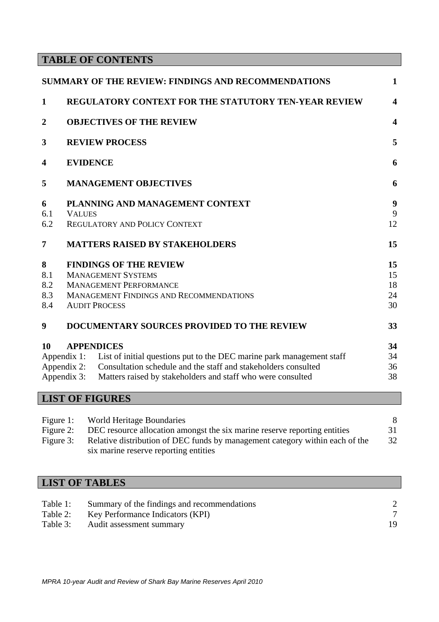## **TABLE OF CONTENTS**

|                  |                                       | <b>SUMMARY OF THE REVIEW: FINDINGS AND RECOMMENDATIONS</b>                        | $\mathbf{1}$            |
|------------------|---------------------------------------|-----------------------------------------------------------------------------------|-------------------------|
| $\mathbf{1}$     |                                       | <b>REGULATORY CONTEXT FOR THE STATUTORY TEN-YEAR REVIEW</b>                       | $\overline{\mathbf{4}}$ |
| $\boldsymbol{2}$ | <b>OBJECTIVES OF THE REVIEW</b>       |                                                                                   |                         |
| 3                |                                       | <b>REVIEW PROCESS</b>                                                             | 5                       |
| 4                | <b>EVIDENCE</b>                       |                                                                                   |                         |
| 5                |                                       | <b>MANAGEMENT OBJECTIVES</b>                                                      | 6                       |
| 6                |                                       | PLANNING AND MANAGEMENT CONTEXT                                                   | 9                       |
| 6.1              | <b>VALUES</b>                         |                                                                                   | 9                       |
| 6.2              |                                       | <b>REGULATORY AND POLICY CONTEXT</b>                                              | 12                      |
| 7                | <b>MATTERS RAISED BY STAKEHOLDERS</b> |                                                                                   | 15                      |
| 8                |                                       | <b>FINDINGS OF THE REVIEW</b>                                                     | 15                      |
| 8.1              |                                       | <b>MANAGEMENT SYSTEMS</b>                                                         | 15                      |
| 8.2              |                                       | <b>MANAGEMENT PERFORMANCE</b>                                                     | 18                      |
| 8.3              |                                       | <b>MANAGEMENT FINDINGS AND RECOMMENDATIONS</b>                                    | 24                      |
| 8.4              |                                       | <b>AUDIT PROCESS</b>                                                              | 30                      |
| 9                |                                       | DOCUMENTARY SOURCES PROVIDED TO THE REVIEW                                        | 33                      |
| 10               |                                       | <b>APPENDICES</b>                                                                 | 34                      |
|                  |                                       | Appendix 1: List of initial questions put to the DEC marine park management staff | 34                      |
|                  |                                       | Appendix 2: Consultation schedule and the staff and stakeholders consulted        | 36                      |
|                  |                                       | Appendix 3: Matters raised by stakeholders and staff who were consulted           | 38                      |
|                  |                                       | I ICT OF FICHIDEC                                                                 |                         |

## **LIST OF FIGURES**

| Figure 1: | <b>World Heritage Boundaries</b>                                             |    |
|-----------|------------------------------------------------------------------------------|----|
| Figure 2: | DEC resource allocation amongst the six marine reserve reporting entities    | 31 |
| Figure 3: | Relative distribution of DEC funds by management category within each of the | 32 |
|           | six marine reserve reporting entities                                        |    |

## **LIST OF TABLES**

| Table 1: | Summary of the findings and recommendations |    |
|----------|---------------------------------------------|----|
| Table 2: | Key Performance Indicators (KPI)            |    |
| Table 3: | Audit assessment summary                    | 19 |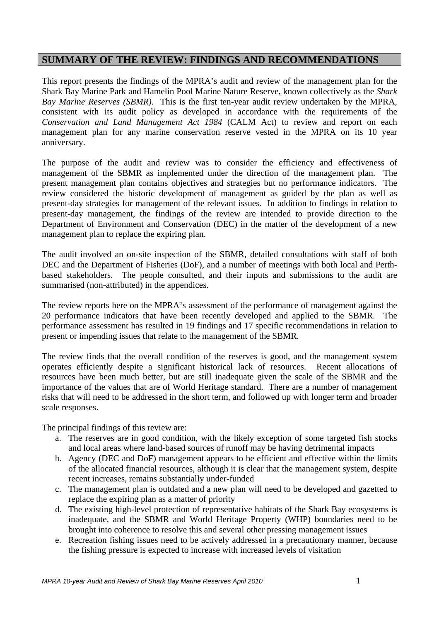## **SUMMARY OF THE REVIEW: FINDINGS AND RECOMMENDATIONS**

This report presents the findings of the MPRA's audit and review of the management plan for the Shark Bay Marine Park and Hamelin Pool Marine Nature Reserve, known collectively as the *Shark Bay Marine Reserves (SBMR)*. This is the first ten-year audit review undertaken by the MPRA, consistent with its audit policy as developed in accordance with the requirements of the *Conservation and Land Management Act 1984* (CALM Act) to review and report on each management plan for any marine conservation reserve vested in the MPRA on its 10 year anniversary.

The purpose of the audit and review was to consider the efficiency and effectiveness of management of the SBMR as implemented under the direction of the management plan. The present management plan contains objectives and strategies but no performance indicators. The review considered the historic development of management as guided by the plan as well as present-day strategies for management of the relevant issues. In addition to findings in relation to present-day management, the findings of the review are intended to provide direction to the Department of Environment and Conservation (DEC) in the matter of the development of a new management plan to replace the expiring plan.

The audit involved an on-site inspection of the SBMR, detailed consultations with staff of both DEC and the Department of Fisheries (DoF), and a number of meetings with both local and Perthbased stakeholders. The people consulted, and their inputs and submissions to the audit are summarised (non-attributed) in the appendices.

The review reports here on the MPRA's assessment of the performance of management against the 20 performance indicators that have been recently developed and applied to the SBMR. The performance assessment has resulted in 19 findings and 17 specific recommendations in relation to present or impending issues that relate to the management of the SBMR.

The review finds that the overall condition of the reserves is good, and the management system operates efficiently despite a significant historical lack of resources. Recent allocations of resources have been much better, but are still inadequate given the scale of the SBMR and the importance of the values that are of World Heritage standard. There are a number of management risks that will need to be addressed in the short term, and followed up with longer term and broader scale responses.

The principal findings of this review are:

- a. The reserves are in good condition, with the likely exception of some targeted fish stocks and local areas where land-based sources of runoff may be having detrimental impacts
- b. Agency (DEC and DoF) management appears to be efficient and effective within the limits of the allocated financial resources, although it is clear that the management system, despite recent increases, remains substantially under-funded
- c. The management plan is outdated and a new plan will need to be developed and gazetted to replace the expiring plan as a matter of priority
- d. The existing high-level protection of representative habitats of the Shark Bay ecosystems is inadequate, and the SBMR and World Heritage Property (WHP) boundaries need to be brought into coherence to resolve this and several other pressing management issues
- e. Recreation fishing issues need to be actively addressed in a precautionary manner, because the fishing pressure is expected to increase with increased levels of visitation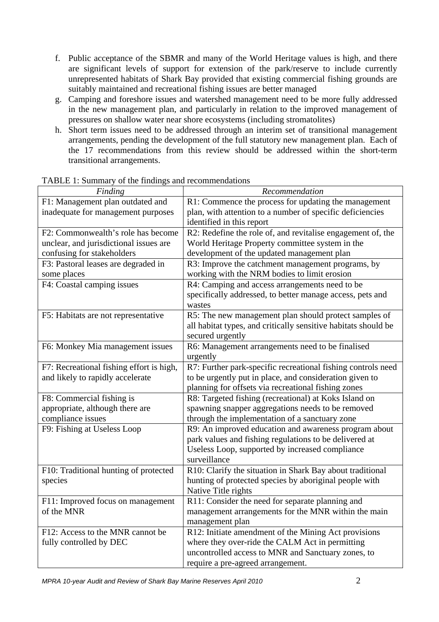- f. Public acceptance of the SBMR and many of the World Heritage values is high, and there are significant levels of support for extension of the park/reserve to include currently unrepresented habitats of Shark Bay provided that existing commercial fishing grounds are suitably maintained and recreational fishing issues are better managed
- g. Camping and foreshore issues and watershed management need to be more fully addressed in the new management plan, and particularly in relation to the improved management of pressures on shallow water near shore ecosystems (including stromatolites)
- h. Short term issues need to be addressed through an interim set of transitional management arrangements, pending the development of the full statutory new management plan. Each of the 17 recommendations from this review should be addressed within the short-term transitional arrangements.

| 17WEE 1. Summary of the midings and recommendations<br>Finding | Recommendation                                                 |
|----------------------------------------------------------------|----------------------------------------------------------------|
| F1: Management plan outdated and                               | R1: Commence the process for updating the management           |
| inadequate for management purposes                             | plan, with attention to a number of specific deficiencies      |
|                                                                | identified in this report                                      |
| F2: Commonwealth's role has become                             | R2: Redefine the role of, and revitalise engagement of, the    |
| unclear, and jurisdictional issues are                         | World Heritage Property committee system in the                |
| confusing for stakeholders                                     | development of the updated management plan                     |
| F3: Pastoral leases are degraded in                            | R3: Improve the catchment management programs, by              |
| some places                                                    | working with the NRM bodies to limit erosion                   |
| F4: Coastal camping issues                                     | R4: Camping and access arrangements need to be                 |
|                                                                | specifically addressed, to better manage access, pets and      |
|                                                                | wastes                                                         |
| F5: Habitats are not representative                            | R5: The new management plan should protect samples of          |
|                                                                | all habitat types, and critically sensitive habitats should be |
|                                                                | secured urgently                                               |
| F6: Monkey Mia management issues                               | R6: Management arrangements need to be finalised               |
|                                                                | urgently                                                       |
| F7: Recreational fishing effort is high,                       | R7: Further park-specific recreational fishing controls need   |
| and likely to rapidly accelerate                               | to be urgently put in place, and consideration given to        |
|                                                                | planning for offsets via recreational fishing zones            |
| F8: Commercial fishing is                                      | R8: Targeted fishing (recreational) at Koks Island on          |
| appropriate, although there are                                | spawning snapper aggregations needs to be removed              |
| compliance issues                                              | through the implementation of a sanctuary zone                 |
| F9: Fishing at Useless Loop                                    | R9: An improved education and awareness program about          |
|                                                                | park values and fishing regulations to be delivered at         |
|                                                                | Useless Loop, supported by increased compliance                |
|                                                                | surveillance                                                   |
| F10: Traditional hunting of protected                          | R10: Clarify the situation in Shark Bay about traditional      |
| species                                                        | hunting of protected species by aboriginal people with         |
|                                                                | Native Title rights                                            |
| F11: Improved focus on management                              | R11: Consider the need for separate planning and               |
| of the MNR                                                     | management arrangements for the MNR within the main            |
|                                                                | management plan                                                |
| F12: Access to the MNR cannot be                               | R12: Initiate amendment of the Mining Act provisions           |
| fully controlled by DEC                                        | where they over-ride the CALM Act in permitting                |
|                                                                | uncontrolled access to MNR and Sanctuary zones, to             |
|                                                                | require a pre-agreed arrangement.                              |

TABLE 1: Summary of the findings and recommendations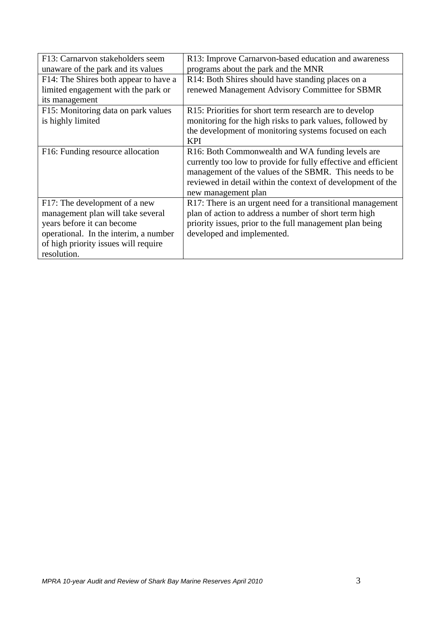| F13: Carnarvon stakeholders seem      | R13: Improve Carnarvon-based education and awareness           |
|---------------------------------------|----------------------------------------------------------------|
| unaware of the park and its values    | programs about the park and the MNR                            |
| F14: The Shires both appear to have a | R14: Both Shires should have standing places on a              |
| limited engagement with the park or   | renewed Management Advisory Committee for SBMR                 |
| its management                        |                                                                |
| F15: Monitoring data on park values   | R15: Priorities for short term research are to develop         |
| is highly limited                     | monitoring for the high risks to park values, followed by      |
|                                       | the development of monitoring systems focused on each          |
|                                       | <b>KPI</b>                                                     |
| F16: Funding resource allocation      | R16: Both Commonwealth and WA funding levels are               |
|                                       | currently too low to provide for fully effective and efficient |
|                                       | management of the values of the SBMR. This needs to be         |
|                                       | reviewed in detail within the context of development of the    |
|                                       | new management plan                                            |
| F17: The development of a new         | R17: There is an urgent need for a transitional management     |
| management plan will take several     | plan of action to address a number of short term high          |
| years before it can become            | priority issues, prior to the full management plan being       |
| operational. In the interim, a number | developed and implemented.                                     |
| of high priority issues will require  |                                                                |
| resolution.                           |                                                                |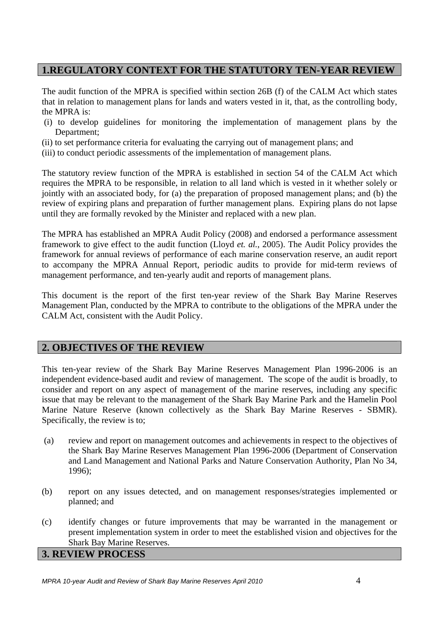## **1.REGULATORY CONTEXT FOR THE STATUTORY TEN-YEAR REVIEW**

The audit function of the MPRA is specified within section 26B (f) of the CALM Act which states that in relation to management plans for lands and waters vested in it, that, as the controlling body, the MPRA is:

- (i) to develop guidelines for monitoring the implementation of management plans by the Department;
- (ii) to set performance criteria for evaluating the carrying out of management plans; and
- (iii) to conduct periodic assessments of the implementation of management plans.

The statutory review function of the MPRA is established in section 54 of the CALM Act which requires the MPRA to be responsible, in relation to all land which is vested in it whether solely or jointly with an associated body, for (a) the preparation of proposed management plans; and (b) the review of expiring plans and preparation of further management plans. Expiring plans do not lapse until they are formally revoked by the Minister and replaced with a new plan.

The MPRA has established an MPRA Audit Policy (2008) and endorsed a performance assessment framework to give effect to the audit function (Lloyd *et. al.*, 2005). The Audit Policy provides the framework for annual reviews of performance of each marine conservation reserve, an audit report to accompany the MPRA Annual Report, periodic audits to provide for mid-term reviews of management performance, and ten-yearly audit and reports of management plans.

This document is the report of the first ten-year review of the Shark Bay Marine Reserves Management Plan, conducted by the MPRA to contribute to the obligations of the MPRA under the CALM Act, consistent with the Audit Policy.

## **2. OBJECTIVES OF THE REVIEW**

This ten-year review of the Shark Bay Marine Reserves Management Plan 1996-2006 is an independent evidence-based audit and review of management. The scope of the audit is broadly, to consider and report on any aspect of management of the marine reserves, including any specific issue that may be relevant to the management of the Shark Bay Marine Park and the Hamelin Pool Marine Nature Reserve (known collectively as the Shark Bay Marine Reserves - SBMR). Specifically, the review is to;

- (a) review and report on management outcomes and achievements in respect to the objectives of the Shark Bay Marine Reserves Management Plan 1996-2006 (Department of Conservation and Land Management and National Parks and Nature Conservation Authority, Plan No 34, 1996);
- (b) report on any issues detected, and on management responses/strategies implemented or planned; and
- (c) identify changes or future improvements that may be warranted in the management or present implementation system in order to meet the established vision and objectives for the Shark Bay Marine Reserves.

**3. REVIEW PROCESS**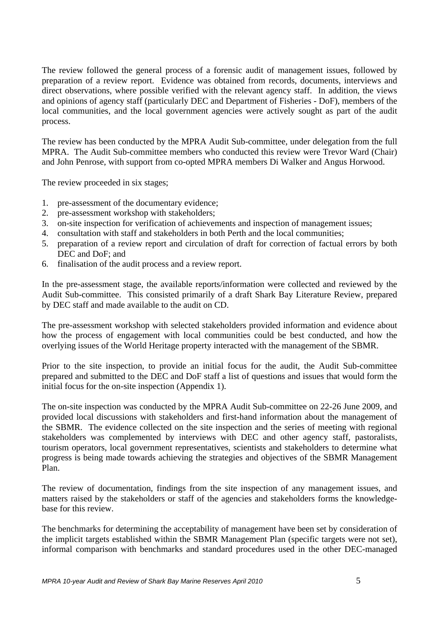The review followed the general process of a forensic audit of management issues, followed by preparation of a review report. Evidence was obtained from records, documents, interviews and direct observations, where possible verified with the relevant agency staff. In addition, the views and opinions of agency staff (particularly DEC and Department of Fisheries - DoF), members of the local communities, and the local government agencies were actively sought as part of the audit process.

The review has been conducted by the MPRA Audit Sub-committee, under delegation from the full MPRA. The Audit Sub-committee members who conducted this review were Trevor Ward (Chair) and John Penrose, with support from co-opted MPRA members Di Walker and Angus Horwood.

The review proceeded in six stages;

- 1. pre-assessment of the documentary evidence;
- 2. pre-assessment workshop with stakeholders;
- 3. on-site inspection for verification of achievements and inspection of management issues;
- 4. consultation with staff and stakeholders in both Perth and the local communities;
- 5. preparation of a review report and circulation of draft for correction of factual errors by both DEC and DoF; and
- 6. finalisation of the audit process and a review report.

In the pre-assessment stage, the available reports/information were collected and reviewed by the Audit Sub-committee. This consisted primarily of a draft Shark Bay Literature Review, prepared by DEC staff and made available to the audit on CD.

The pre-assessment workshop with selected stakeholders provided information and evidence about how the process of engagement with local communities could be best conducted, and how the overlying issues of the World Heritage property interacted with the management of the SBMR.

Prior to the site inspection, to provide an initial focus for the audit, the Audit Sub-committee prepared and submitted to the DEC and DoF staff a list of questions and issues that would form the initial focus for the on-site inspection (Appendix 1).

The on-site inspection was conducted by the MPRA Audit Sub-committee on 22-26 June 2009, and provided local discussions with stakeholders and first-hand information about the management of the SBMR. The evidence collected on the site inspection and the series of meeting with regional stakeholders was complemented by interviews with DEC and other agency staff, pastoralists, tourism operators, local government representatives, scientists and stakeholders to determine what progress is being made towards achieving the strategies and objectives of the SBMR Management Plan.

The review of documentation, findings from the site inspection of any management issues, and matters raised by the stakeholders or staff of the agencies and stakeholders forms the knowledgebase for this review.

The benchmarks for determining the acceptability of management have been set by consideration of the implicit targets established within the SBMR Management Plan (specific targets were not set), informal comparison with benchmarks and standard procedures used in the other DEC-managed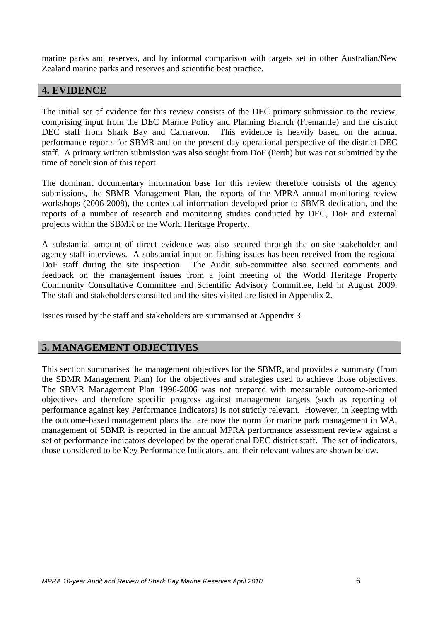marine parks and reserves, and by informal comparison with targets set in other Australian/New Zealand marine parks and reserves and scientific best practice.

## **4. EVIDENCE**

The initial set of evidence for this review consists of the DEC primary submission to the review, comprising input from the DEC Marine Policy and Planning Branch (Fremantle) and the district DEC staff from Shark Bay and Carnarvon. This evidence is heavily based on the annual performance reports for SBMR and on the present-day operational perspective of the district DEC staff. A primary written submission was also sought from DoF (Perth) but was not submitted by the time of conclusion of this report.

The dominant documentary information base for this review therefore consists of the agency submissions, the SBMR Management Plan, the reports of the MPRA annual monitoring review workshops (2006-2008), the contextual information developed prior to SBMR dedication, and the reports of a number of research and monitoring studies conducted by DEC, DoF and external projects within the SBMR or the World Heritage Property.

A substantial amount of direct evidence was also secured through the on-site stakeholder and agency staff interviews. A substantial input on fishing issues has been received from the regional DoF staff during the site inspection. The Audit sub-committee also secured comments and feedback on the management issues from a joint meeting of the World Heritage Property Community Consultative Committee and Scientific Advisory Committee, held in August 2009. The staff and stakeholders consulted and the sites visited are listed in Appendix 2.

Issues raised by the staff and stakeholders are summarised at Appendix 3.

## **5. MANAGEMENT OBJECTIVES**

This section summarises the management objectives for the SBMR, and provides a summary (from the SBMR Management Plan) for the objectives and strategies used to achieve those objectives. The SBMR Management Plan 1996-2006 was not prepared with measurable outcome-oriented objectives and therefore specific progress against management targets (such as reporting of performance against key Performance Indicators) is not strictly relevant. However, in keeping with the outcome-based management plans that are now the norm for marine park management in WA, management of SBMR is reported in the annual MPRA performance assessment review against a set of performance indicators developed by the operational DEC district staff. The set of indicators, those considered to be Key Performance Indicators, and their relevant values are shown below.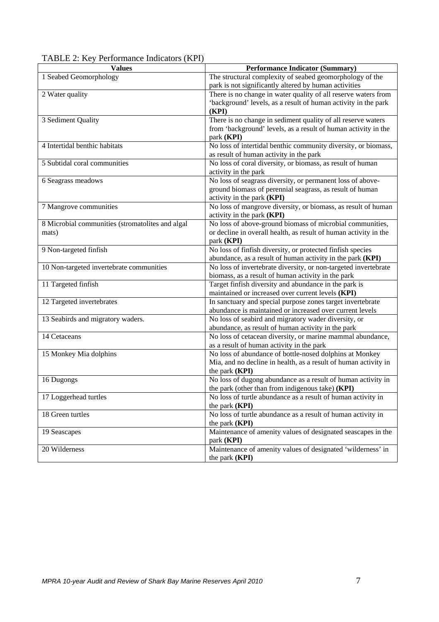| $17$ DLL $2.$ Key I chormance multators (KTT)<br><b>Values</b> | <b>Performance Indicator (Summary)</b>                           |
|----------------------------------------------------------------|------------------------------------------------------------------|
|                                                                |                                                                  |
| 1 Seabed Geomorphology                                         | The structural complexity of seabed geomorphology of the         |
|                                                                | park is not significantly altered by human activities            |
| 2 Water quality                                                | There is no change in water quality of all reserve waters from   |
|                                                                | 'background' levels, as a result of human activity in the park   |
|                                                                | (KPI)                                                            |
| 3 Sediment Quality                                             | There is no change in sediment quality of all reserve waters     |
|                                                                | from 'background' levels, as a result of human activity in the   |
|                                                                | park (KPI)                                                       |
| 4 Intertidal benthic habitats                                  | No loss of intertidal benthic community diversity, or biomass,   |
|                                                                | as result of human activity in the park                          |
| 5 Subtidal coral communities                                   | No loss of coral diversity, or biomass, as result of human       |
|                                                                | activity in the park                                             |
| 6 Seagrass meadows                                             | No loss of seagrass diversity, or permanent loss of above-       |
|                                                                | ground biomass of perennial seagrass, as result of human         |
|                                                                | activity in the park (KPI)                                       |
| 7 Mangrove communities                                         | No loss of mangrove diversity, or biomass, as result of human    |
|                                                                | activity in the park (KPI)                                       |
| 8 Microbial communities (stromatolites and algal               | No loss of above-ground biomass of microbial communities,        |
| mats)                                                          | or decline in overall health, as result of human activity in the |
|                                                                | park (KPI)                                                       |
| 9 Non-targeted finfish                                         | No loss of finfish diversity, or protected finfish species       |
|                                                                | abundance, as a result of human activity in the park (KPI)       |
| 10 Non-targeted invertebrate communities                       | No loss of invertebrate diversity, or non-targeted invertebrate  |
|                                                                | biomass, as a result of human activity in the park               |
| 11 Targeted finfish                                            | Target finfish diversity and abundance in the park is            |
|                                                                | maintained or increased over current levels (KPI)                |
| 12 Targeted invertebrates                                      | In sanctuary and special purpose zones target invertebrate       |
|                                                                | abundance is maintained or increased over current levels         |
| 13 Seabirds and migratory waders.                              | No loss of seabird and migratory wader diversity, or             |
|                                                                | abundance, as result of human activity in the park               |
| 14 Cetaceans                                                   | No loss of cetacean diversity, or marine mammal abundance,       |
|                                                                | as a result of human activity in the park                        |
| 15 Monkey Mia dolphins                                         | No loss of abundance of bottle-nosed dolphins at Monkey          |
|                                                                | Mia, and no decline in health, as a result of human activity in  |
|                                                                | the park (KPI)                                                   |
| 16 Dugongs                                                     | No loss of dugong abundance as a result of human activity in     |
|                                                                | the park (other than from indigenous take) (KPI)                 |
| 17 Loggerhead turtles                                          | No loss of turtle abundance as a result of human activity in     |
|                                                                | the park (KPI)                                                   |
| 18 Green turtles                                               | No loss of turtle abundance as a result of human activity in     |
|                                                                | the park (KPI)                                                   |
| 19 Seascapes                                                   | Maintenance of amenity values of designated seascapes in the     |
|                                                                | park (KPI)                                                       |
| 20 Wilderness                                                  | Maintenance of amenity values of designated 'wilderness' in      |
|                                                                | the park (KPI)                                                   |
|                                                                |                                                                  |

TABLE 2: Key Performance Indicators (KPI)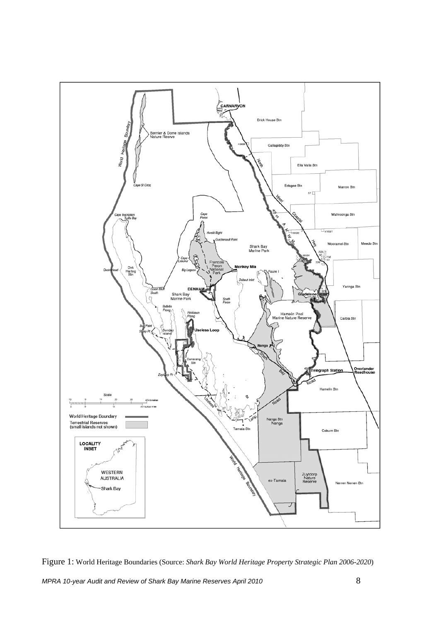

Figure 1: World Heritage Boundaries (Source: *Shark Bay World Heritage Property Strategic Plan 2006-2020*)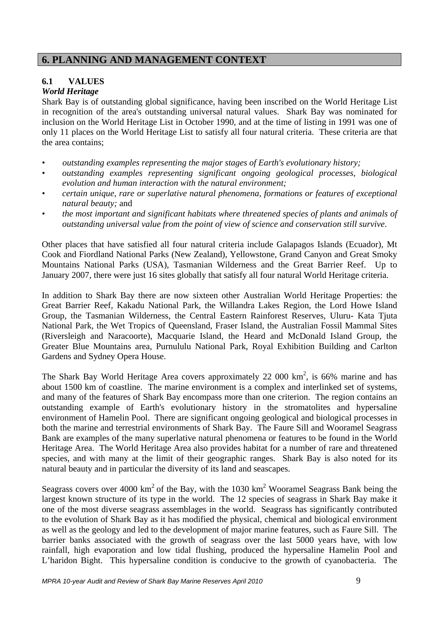## **6. PLANNING AND MANAGEMENT CONTEXT**

## **6.1 VALUES**

## *World Heritage*

Shark Bay is of outstanding global significance, having been inscribed on the World Heritage List in recognition of the area's outstanding universal natural values. Shark Bay was nominated for inclusion on the World Heritage List in October 1990, and at the time of listing in 1991 was one of only 11 places on the World Heritage List to satisfy all four natural criteria. These criteria are that the area contains;

- *• outstanding examples representing the major stages of Earth's evolutionary history;*
- *• outstanding examples representing significant ongoing geological processes, biological evolution and human interaction with the natural environment;*
- *• certain unique, rare or superlative natural phenomena, formations or features of exceptional natural beauty;* and
- *• the most important and significant habitats where threatened species of plants and animals of outstanding universal value from the point of view of science and conservation still survive*.

Other places that have satisfied all four natural criteria include Galapagos Islands (Ecuador), Mt Cook and Fiordland National Parks (New Zealand), Yellowstone, Grand Canyon and Great Smoky Mountains National Parks (USA), Tasmanian Wilderness and the Great Barrier Reef. Up to January 2007, there were just 16 sites globally that satisfy all four natural World Heritage criteria.

In addition to Shark Bay there are now sixteen other Australian World Heritage Properties: the Great Barrier Reef, Kakadu National Park, the Willandra Lakes Region, the Lord Howe Island Group, the Tasmanian Wilderness, the Central Eastern Rainforest Reserves, Uluru- Kata Tjuta National Park, the Wet Tropics of Queensland, Fraser Island, the Australian Fossil Mammal Sites (Riversleigh and Naracoorte), Macquarie Island, the Heard and McDonald Island Group, the Greater Blue Mountains area, Purnululu National Park, Royal Exhibition Building and Carlton Gardens and Sydney Opera House.

The Shark Bay World Heritage Area covers approximately 22 000  $km^2$ , is 66% marine and has about 1500 km of coastline. The marine environment is a complex and interlinked set of systems, and many of the features of Shark Bay encompass more than one criterion. The region contains an outstanding example of Earth's evolutionary history in the stromatolites and hypersaline environment of Hamelin Pool. There are significant ongoing geological and biological processes in both the marine and terrestrial environments of Shark Bay. The Faure Sill and Wooramel Seagrass Bank are examples of the many superlative natural phenomena or features to be found in the World Heritage Area. The World Heritage Area also provides habitat for a number of rare and threatened species, and with many at the limit of their geographic ranges. Shark Bay is also noted for its natural beauty and in particular the diversity of its land and seascapes.

Seagrass covers over 4000 km<sup>2</sup> of the Bay, with the 1030 km<sup>2</sup> Wooramel Seagrass Bank being the largest known structure of its type in the world. The 12 species of seagrass in Shark Bay make it one of the most diverse seagrass assemblages in the world. Seagrass has significantly contributed to the evolution of Shark Bay as it has modified the physical, chemical and biological environment as well as the geology and led to the development of major marine features, such as Faure Sill. The barrier banks associated with the growth of seagrass over the last 5000 years have, with low rainfall, high evaporation and low tidal flushing, produced the hypersaline Hamelin Pool and L'haridon Bight. This hypersaline condition is conducive to the growth of cyanobacteria. The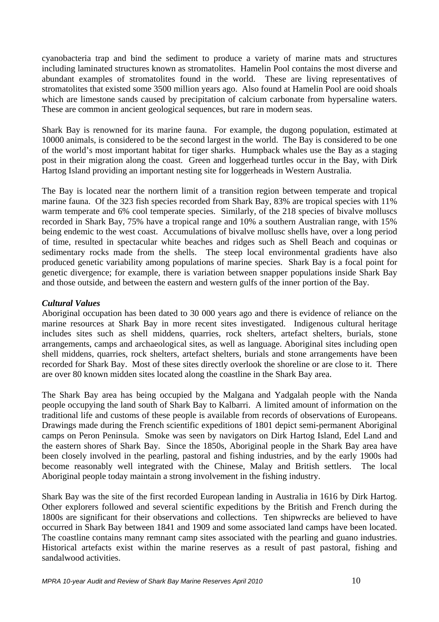cyanobacteria trap and bind the sediment to produce a variety of marine mats and structures including laminated structures known as stromatolites. Hamelin Pool contains the most diverse and abundant examples of stromatolites found in the world. These are living representatives of stromatolites that existed some 3500 million years ago. Also found at Hamelin Pool are ooid shoals which are limestone sands caused by precipitation of calcium carbonate from hypersaline waters. These are common in ancient geological sequences, but rare in modern seas.

Shark Bay is renowned for its marine fauna. For example, the dugong population, estimated at 10000 animals, is considered to be the second largest in the world. The Bay is considered to be one of the world's most important habitat for tiger sharks. Humpback whales use the Bay as a staging post in their migration along the coast. Green and loggerhead turtles occur in the Bay, with Dirk Hartog Island providing an important nesting site for loggerheads in Western Australia.

The Bay is located near the northern limit of a transition region between temperate and tropical marine fauna. Of the 323 fish species recorded from Shark Bay, 83% are tropical species with 11% warm temperate and 6% cool temperate species. Similarly, of the 218 species of bivalve molluscs recorded in Shark Bay, 75% have a tropical range and 10% a southern Australian range, with 15% being endemic to the west coast. Accumulations of bivalve mollusc shells have, over a long period of time, resulted in spectacular white beaches and ridges such as Shell Beach and coquinas or sedimentary rocks made from the shells. The steep local environmental gradients have also produced genetic variability among populations of marine species. Shark Bay is a focal point for genetic divergence; for example, there is variation between snapper populations inside Shark Bay and those outside, and between the eastern and western gulfs of the inner portion of the Bay.

#### *Cultural Values*

Aboriginal occupation has been dated to 30 000 years ago and there is evidence of reliance on the marine resources at Shark Bay in more recent sites investigated. Indigenous cultural heritage includes sites such as shell middens, quarries, rock shelters, artefact shelters, burials, stone arrangements, camps and archaeological sites, as well as language. Aboriginal sites including open shell middens, quarries, rock shelters, artefact shelters, burials and stone arrangements have been recorded for Shark Bay. Most of these sites directly overlook the shoreline or are close to it. There are over 80 known midden sites located along the coastline in the Shark Bay area.

The Shark Bay area has being occupied by the Malgana and Yadgalah people with the Nanda people occupying the land south of Shark Bay to Kalbarri. A limited amount of information on the traditional life and customs of these people is available from records of observations of Europeans. Drawings made during the French scientific expeditions of 1801 depict semi-permanent Aboriginal camps on Peron Peninsula. Smoke was seen by navigators on Dirk Hartog Island, Edel Land and the eastern shores of Shark Bay. Since the 1850s, Aboriginal people in the Shark Bay area have been closely involved in the pearling, pastoral and fishing industries, and by the early 1900s had become reasonably well integrated with the Chinese, Malay and British settlers. The local Aboriginal people today maintain a strong involvement in the fishing industry.

Shark Bay was the site of the first recorded European landing in Australia in 1616 by Dirk Hartog. Other explorers followed and several scientific expeditions by the British and French during the 1800s are significant for their observations and collections. Ten shipwrecks are believed to have occurred in Shark Bay between 1841 and 1909 and some associated land camps have been located. The coastline contains many remnant camp sites associated with the pearling and guano industries. Historical artefacts exist within the marine reserves as a result of past pastoral, fishing and sandalwood activities.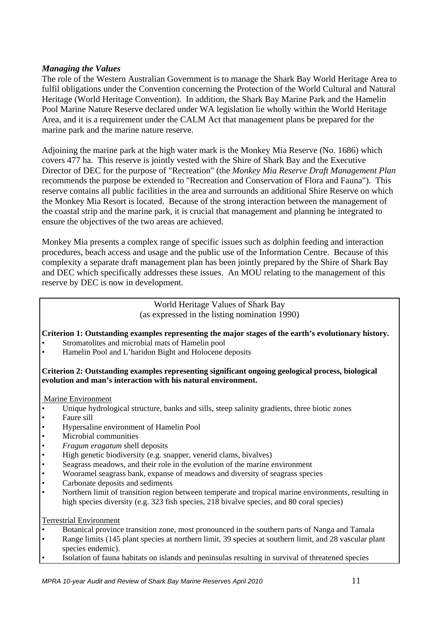#### *Managing the Values*

The role of the Western Australian Government is to manage the Shark Bay World Heritage Area to fulfil obligations under the Convention concerning the Protection of the World Cultural and Natural Heritage (World Heritage Convention). In addition, the Shark Bay Marine Park and the Hamelin Pool Marine Nature Reserve declared under WA legislation lie wholly within the World Heritage Area, and it is a requirement under the CALM Act that management plans be prepared for the marine park and the marine nature reserve.

Adjoining the marine park at the high water mark is the Monkey Mia Reserve (No. 1686) which covers 477 ha. This reserve is jointly vested with the Shire of Shark Bay and the Executive Director of DEC for the purpose of "Recreation" (the *Monkey Mia Reserve Draft Management Plan* recommends the purpose be extended to "Recreation and Conservation of Flora and Fauna"). This reserve contains all public facilities in the area and surrounds an additional Shire Reserve on which the Monkey Mia Resort is located. Because of the strong interaction between the management of the coastal strip and the marine park, it is crucial that management and planning be integrated to ensure the objectives of the two areas are achieved.

Monkey Mia presents a complex range of specific issues such as dolphin feeding and interaction procedures, beach access and usage and the public use of the Information Centre. Because of this complexity a separate draft management plan has been jointly prepared by the Shire of Shark Bay and DEC which specifically addresses these issues. An MOU relating to the management of this reserve by DEC is now in development.

> World Heritage Values of Shark Bay (as expressed in the listing nomination 1990)

#### **Criterion 1: Outstanding examples representing the major stages of the earth's evolutionary history.**

- Stromatolites and microbial mats of Hamelin pool
- Hamelin Pool and L'haridon Bight and Holocene deposits

#### **Criterion 2: Outstanding examples representing significant ongoing geological process, biological evolution and man's interaction with his natural environment.**

#### Marine Environment

- Unique hydrological structure, banks and sills, steep salinity gradients, three biotic zones
- Faure sill
- Hypersaline environment of Hamelin Pool
- Microbial communities
- *Fragum eragatum* shell deposits
- High genetic biodiversity (e.g. snapper, venerid clams, bivalves)
- Seagrass meadows, and their role in the evolution of the marine environment
- Wooramel seagrass bank, expanse of meadows and diversity of seagrass species
- Carbonate deposits and sediments
- Northern limit of transition region between temperate and tropical marine environments, resulting in high species diversity (e.g. 323 fish species, 218 bivalve species, and 80 coral species)

Terrestrial Environment

- Botanical province transition zone, most pronounced in the southern parts of Nanga and Tamala
- Range limits (145 plant species at northern limit, 39 species at southern limit, and 28 vascular plant species endemic).
- Isolation of fauna habitats on islands and peninsulas resulting in survival of threatened species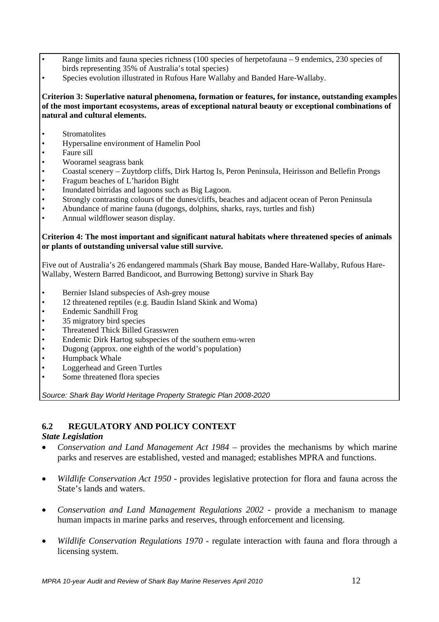- Range limits and fauna species richness (100 species of herpetofauna 9 endemics, 230 species of birds representing 35% of Australia's total species)
- Species evolution illustrated in Rufous Hare Wallaby and Banded Hare-Wallaby.

#### **Criterion 3: Superlative natural phenomena, formation or features, for instance, outstanding examples of the most important ecosystems, areas of exceptional natural beauty or exceptional combinations of natural and cultural elements.**

- **Stromatolites**
- Hypersaline environment of Hamelin Pool
- Faure sill
- Wooramel seagrass bank
- Coastal scenery Zuytdorp cliffs, Dirk Hartog Is, Peron Peninsula, Heirisson and Bellefin Prongs
- Fragum beaches of L'haridon Bight
- Inundated birridas and lagoons such as Big Lagoon.
- Strongly contrasting colours of the dunes/cliffs, beaches and adjacent ocean of Peron Peninsula
- Abundance of marine fauna (dugongs, dolphins, sharks, rays, turtles and fish)
- Annual wildflower season display.

#### **Criterion 4: The most important and significant natural habitats where threatened species of animals or plants of outstanding universal value still survive.**

Five out of Australia's 26 endangered mammals (Shark Bay mouse, Banded Hare-Wallaby, Rufous Hare-Wallaby, Western Barred Bandicoot, and Burrowing Bettong) survive in Shark Bay

- Bernier Island subspecies of Ash-grey mouse
- 12 threatened reptiles (e.g. Baudin Island Skink and Woma)
- Endemic Sandhill Frog
- 35 migratory bird species
- Threatened Thick Billed Grasswren
- Endemic Dirk Hartog subspecies of the southern emu-wren
- Dugong (approx. one eighth of the world's population)
- Humpback Whale
- Loggerhead and Green Turtles
- Some threatened flora species

*Source: Shark Bay World Heritage Property Strategic Plan 2008-2020*

## **6.2 REGULATORY AND POLICY CONTEXT**

#### *State Legislation*

- *Conservation and Land Management Act 1984* provides the mechanisms by which marine parks and reserves are established, vested and managed; establishes MPRA and functions.
- *Wildlife Conservation Act 1950* provides legislative protection for flora and fauna across the State's lands and waters.
- *Conservation and Land Management Regulations 2002* provide a mechanism to manage human impacts in marine parks and reserves, through enforcement and licensing.
- *Wildlife Conservation Regulations 1970* regulate interaction with fauna and flora through a licensing system.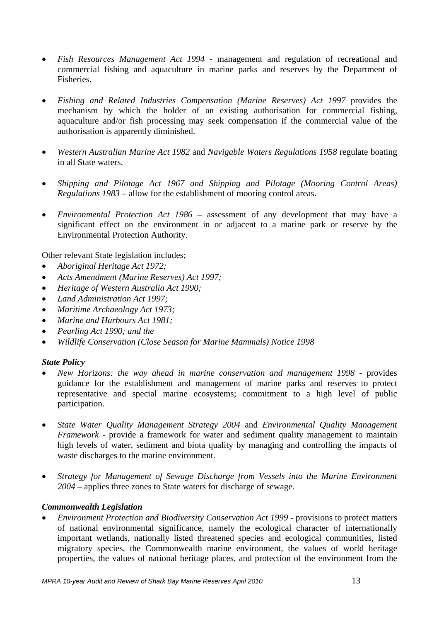- *Fish Resources Management Act 1994* management and regulation of recreational and commercial fishing and aquaculture in marine parks and reserves by the Department of Fisheries.
- *Fishing and Related Industries Compensation (Marine Reserves) Act 1997* provides the mechanism by which the holder of an existing authorisation for commercial fishing, aquaculture and/or fish processing may seek compensation if the commercial value of the authorisation is apparently diminished.
- *Western Australian Marine Act 1982* and *Navigable Waters Regulations 1958* regulate boating in all State waters.
- *Shipping and Pilotage Act 1967 and Shipping and Pilotage (Mooring Control Areas) Regulations 1983* – allow for the establishment of mooring control areas.
- *Environmental Protection Act 1986* assessment of any development that may have a significant effect on the environment in or adjacent to a marine park or reserve by the Environmental Protection Authority.

Other relevant State legislation includes;

- *Aboriginal Heritage Act 1972;*
- *Acts Amendment (Marine Reserves) Act 1997;*
- *Heritage of Western Australia Act 1990;*
- *Land Administration Act 1997;*
- *Maritime Archaeology Act 1973;*
- *Marine and Harbours Act 1981;*
- *Pearling Act 1990; and the*
- *Wildlife Conservation (Close Season for Marine Mammals) Notice 1998*

#### *State Policy*

- *New Horizons: the way ahead in marine conservation and management 1998* provides guidance for the establishment and management of marine parks and reserves to protect representative and special marine ecosystems; commitment to a high level of public participation.
- *State Water Quality Management Strategy 2004* and *Environmental Quality Management Framework* - provide a framework for water and sediment quality management to maintain high levels of water, sediment and biota quality by managing and controlling the impacts of waste discharges to the marine environment.
- *Strategy for Management of Sewage Discharge from Vessels into the Marine Environment 2004* – applies three zones to State waters for discharge of sewage.

#### *Commonwealth Legislation*

• *Environment Protection and Biodiversity Conservation Act 1999* - provisions to protect matters of national environmental significance, namely the ecological character of internationally important wetlands, nationally listed threatened species and ecological communities, listed migratory species, the Commonwealth marine environment, the values of world heritage properties, the values of national heritage places, and protection of the environment from the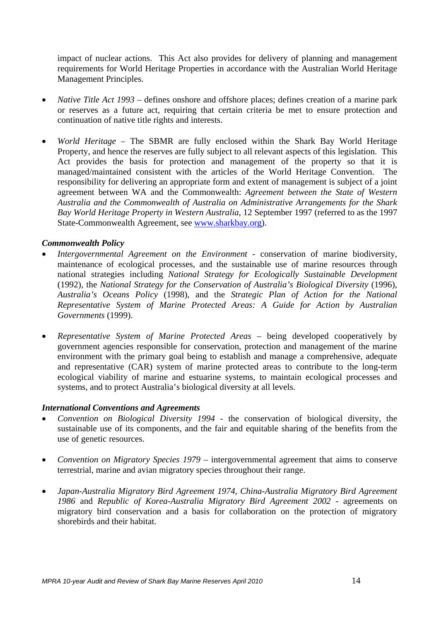impact of nuclear actions. This Act also provides for delivery of planning and management requirements for World Heritage Properties in accordance with the Australian World Heritage Management Principles.

- *Native Title Act 1993* defines onshore and offshore places; defines creation of a marine park or reserves as a future act, requiring that certain criteria be met to ensure protection and continuation of native title rights and interests.
- *World Heritage*  The SBMR are fully enclosed within the Shark Bay World Heritage Property, and hence the reserves are fully subject to all relevant aspects of this legislation. This Act provides the basis for protection and management of the property so that it is managed/maintained consistent with the articles of the World Heritage Convention. The responsibility for delivering an appropriate form and extent of management is subject of a joint agreement between WA and the Commonwealth: *Agreement between the State of Western Australia and the Commonwealth of Australia on Administrative Arrangements for the Shark Bay World Heritage Property in Western Australia*, 12 September 1997 (referred to as the 1997 State-Commonwealth Agreement, see [www.sharkbay.org\)](http://www.sharkbay.org/).

#### *Commonwealth Policy*

- *Intergovernmental Agreement on the Environment* conservation of marine biodiversity, maintenance of ecological processes, and the sustainable use of marine resources through national strategies including *National Strategy for Ecologically Sustainable Development* (1992), the *National Strategy for the Conservation of Australia's Biological Diversity* (1996), *Australia's Oceans Policy* (1998), and the *Strategic Plan of Action for the National Representative System of Marine Protected Areas: A Guide for Action by Australian Governments* (1999).
- *Representative System of Marine Protected Areas* being developed cooperatively by government agencies responsible for conservation, protection and management of the marine environment with the primary goal being to establish and manage a comprehensive, adequate and representative (CAR) system of marine protected areas to contribute to the long-term ecological viability of marine and estuarine systems, to maintain ecological processes and systems, and to protect Australia's biological diversity at all levels.

#### *International Conventions and Agreements*

- *Convention on Biological Diversity 1994* the conservation of biological diversity, the sustainable use of its components, and the fair and equitable sharing of the benefits from the use of genetic resources.
- *Convention on Migratory Species 1979* intergovernmental agreement that aims to conserve terrestrial, marine and avian migratory species throughout their range.
- *Japan-Australia Migratory Bird Agreement 1974*, *China-Australia Migratory Bird Agreement 1986* and *Republic of Korea-Australia Migratory Bird Agreement 2002* - agreements on migratory bird conservation and a basis for collaboration on the protection of migratory shorebirds and their habitat.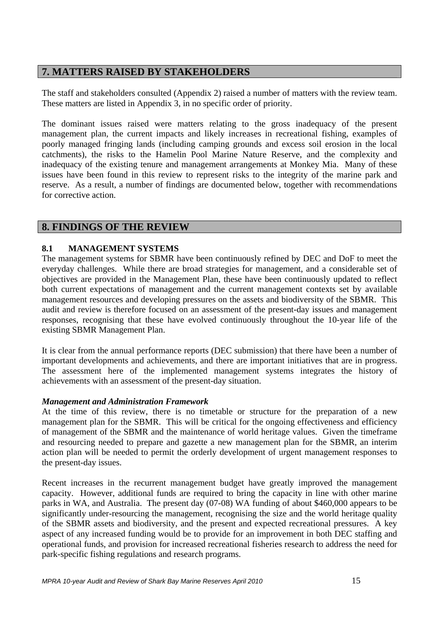## **7. MATTERS RAISED BY STAKEHOLDERS**

The staff and stakeholders consulted (Appendix 2) raised a number of matters with the review team. These matters are listed in Appendix 3, in no specific order of priority.

The dominant issues raised were matters relating to the gross inadequacy of the present management plan, the current impacts and likely increases in recreational fishing, examples of poorly managed fringing lands (including camping grounds and excess soil erosion in the local catchments), the risks to the Hamelin Pool Marine Nature Reserve, and the complexity and inadequacy of the existing tenure and management arrangements at Monkey Mia. Many of these issues have been found in this review to represent risks to the integrity of the marine park and reserve. As a result, a number of findings are documented below, together with recommendations for corrective action.

## **8. FINDINGS OF THE REVIEW**

#### **8.1 MANAGEMENT SYSTEMS**

The management systems for SBMR have been continuously refined by DEC and DoF to meet the everyday challenges. While there are broad strategies for management, and a considerable set of objectives are provided in the Management Plan, these have been continuously updated to reflect both current expectations of management and the current management contexts set by available management resources and developing pressures on the assets and biodiversity of the SBMR. This audit and review is therefore focused on an assessment of the present-day issues and management responses, recognising that these have evolved continuously throughout the 10-year life of the existing SBMR Management Plan.

It is clear from the annual performance reports (DEC submission) that there have been a number of important developments and achievements, and there are important initiatives that are in progress. The assessment here of the implemented management systems integrates the history of achievements with an assessment of the present-day situation.

#### *Management and Administration Framework*

At the time of this review, there is no timetable or structure for the preparation of a new management plan for the SBMR. This will be critical for the ongoing effectiveness and efficiency of management of the SBMR and the maintenance of world heritage values. Given the timeframe and resourcing needed to prepare and gazette a new management plan for the SBMR, an interim action plan will be needed to permit the orderly development of urgent management responses to the present-day issues.

Recent increases in the recurrent management budget have greatly improved the management capacity. However, additional funds are required to bring the capacity in line with other marine parks in WA, and Australia. The present day (07-08) WA funding of about \$460,000 appears to be significantly under-resourcing the management, recognising the size and the world heritage quality of the SBMR assets and biodiversity, and the present and expected recreational pressures. A key aspect of any increased funding would be to provide for an improvement in both DEC staffing and operational funds, and provision for increased recreational fisheries research to address the need for park-specific fishing regulations and research programs.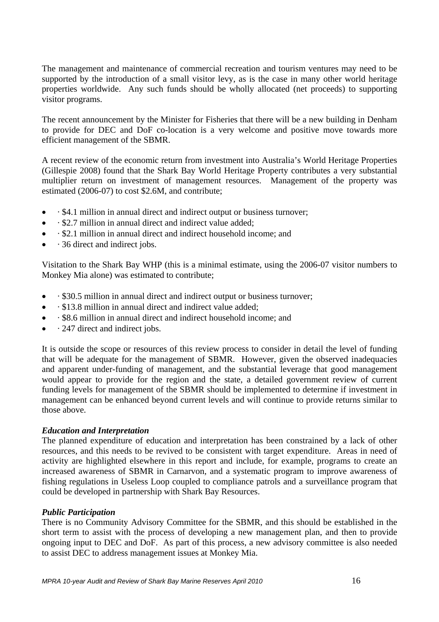The management and maintenance of commercial recreation and tourism ventures may need to be supported by the introduction of a small visitor levy, as is the case in many other world heritage properties worldwide. Any such funds should be wholly allocated (net proceeds) to supporting visitor programs.

The recent announcement by the Minister for Fisheries that there will be a new building in Denham to provide for DEC and DoF co-location is a very welcome and positive move towards more efficient management of the SBMR.

A recent review of the economic return from investment into Australia's World Heritage Properties (Gillespie 2008) found that the Shark Bay World Heritage Property contributes a very substantial multiplier return on investment of management resources. Management of the property was estimated (2006-07) to cost \$2.6M, and contribute;

- • \$4.1 million in annual direct and indirect output or business turnover;
- · \$2.7 million in annual direct and indirect value added;
- • \$2.1 million in annual direct and indirect household income; and
- · 36 direct and indirect jobs.

Visitation to the Shark Bay WHP (this is a minimal estimate, using the 2006-07 visitor numbers to Monkey Mia alone) was estimated to contribute;

- • \$30.5 million in annual direct and indirect output or business turnover;
- · \$13.8 million in annual direct and indirect value added;
- · \$8.6 million in annual direct and indirect household income; and
- · 247 direct and indirect jobs.

It is outside the scope or resources of this review process to consider in detail the level of funding that will be adequate for the management of SBMR. However, given the observed inadequacies and apparent under-funding of management, and the substantial leverage that good management would appear to provide for the region and the state, a detailed government review of current funding levels for management of the SBMR should be implemented to determine if investment in management can be enhanced beyond current levels and will continue to provide returns similar to those above.

#### *Education and Interpretation*

The planned expenditure of education and interpretation has been constrained by a lack of other resources, and this needs to be revived to be consistent with target expenditure. Areas in need of activity are highlighted elsewhere in this report and include, for example, programs to create an increased awareness of SBMR in Carnarvon, and a systematic program to improve awareness of fishing regulations in Useless Loop coupled to compliance patrols and a surveillance program that could be developed in partnership with Shark Bay Resources.

#### *Public Participation*

There is no Community Advisory Committee for the SBMR, and this should be established in the short term to assist with the process of developing a new management plan, and then to provide ongoing input to DEC and DoF. As part of this process, a new advisory committee is also needed to assist DEC to address management issues at Monkey Mia.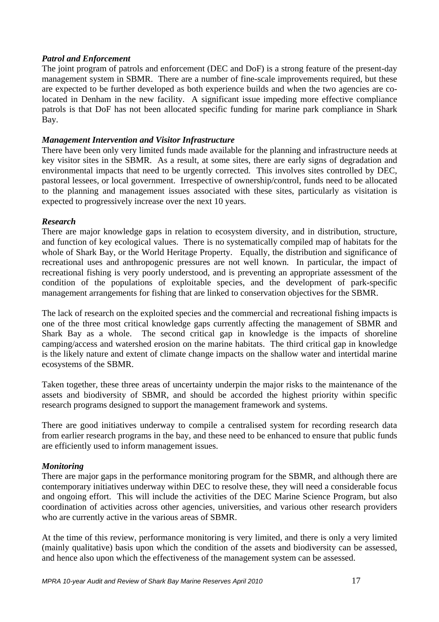#### *Patrol and Enforcement*

The joint program of patrols and enforcement (DEC and DoF) is a strong feature of the present-day management system in SBMR. There are a number of fine-scale improvements required, but these are expected to be further developed as both experience builds and when the two agencies are colocated in Denham in the new facility. A significant issue impeding more effective compliance patrols is that DoF has not been allocated specific funding for marine park compliance in Shark Bay.

#### *Management Intervention and Visitor Infrastructure*

There have been only very limited funds made available for the planning and infrastructure needs at key visitor sites in the SBMR. As a result, at some sites, there are early signs of degradation and environmental impacts that need to be urgently corrected. This involves sites controlled by DEC, pastoral lessees, or local government. Irrespective of ownership/control, funds need to be allocated to the planning and management issues associated with these sites, particularly as visitation is expected to progressively increase over the next 10 years.

#### *Research*

There are major knowledge gaps in relation to ecosystem diversity, and in distribution, structure, and function of key ecological values. There is no systematically compiled map of habitats for the whole of Shark Bay, or the World Heritage Property. Equally, the distribution and significance of recreational uses and anthropogenic pressures are not well known. In particular, the impact of recreational fishing is very poorly understood, and is preventing an appropriate assessment of the condition of the populations of exploitable species, and the development of park-specific management arrangements for fishing that are linked to conservation objectives for the SBMR.

The lack of research on the exploited species and the commercial and recreational fishing impacts is one of the three most critical knowledge gaps currently affecting the management of SBMR and Shark Bay as a whole. The second critical gap in knowledge is the impacts of shoreline camping/access and watershed erosion on the marine habitats. The third critical gap in knowledge is the likely nature and extent of climate change impacts on the shallow water and intertidal marine ecosystems of the SBMR.

Taken together, these three areas of uncertainty underpin the major risks to the maintenance of the assets and biodiversity of SBMR, and should be accorded the highest priority within specific research programs designed to support the management framework and systems.

There are good initiatives underway to compile a centralised system for recording research data from earlier research programs in the bay, and these need to be enhanced to ensure that public funds are efficiently used to inform management issues.

## *Monitoring*

There are major gaps in the performance monitoring program for the SBMR, and although there are contemporary initiatives underway within DEC to resolve these, they will need a considerable focus and ongoing effort. This will include the activities of the DEC Marine Science Program, but also coordination of activities across other agencies, universities, and various other research providers who are currently active in the various areas of SBMR.

At the time of this review, performance monitoring is very limited, and there is only a very limited (mainly qualitative) basis upon which the condition of the assets and biodiversity can be assessed, and hence also upon which the effectiveness of the management system can be assessed.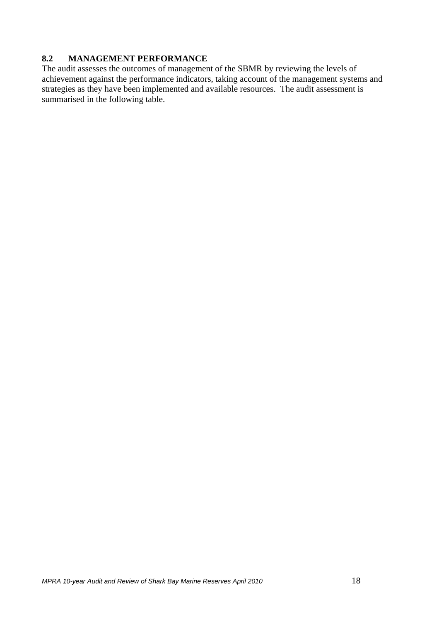## **8.2 MANAGEMENT PERFORMANCE**

The audit assesses the outcomes of management of the SBMR by reviewing the levels of achievement against the performance indicators, taking account of the management systems and strategies as they have been implemented and available resources. The audit assessment is summarised in the following table.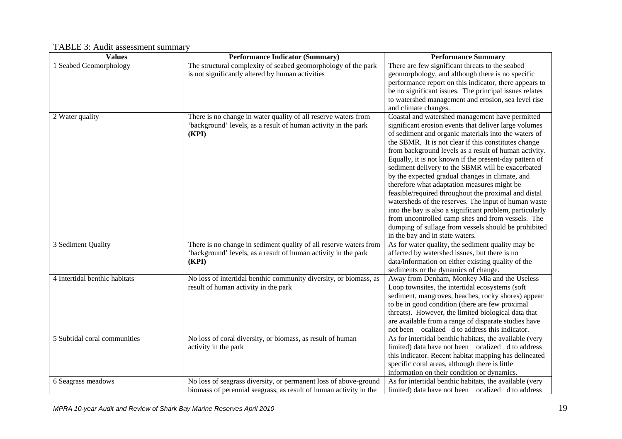#### **Values Performance Indicator (Summary) Performance Summary**  1 Seabed Geomorphology The structural complexity of seabed geomorphology of the park is not significantly altered by human activities There are few significant threats to the seabed geomorphology, and although there is no specific performance report on this indicator, there appears to be no significant issues. The principal issues relates to watershed management and erosion, sea level rise and climate changes. 2 Water quality There is no change in water quality of all reserve waters from 'background' levels, as a result of human activity in the park **(KPI)** Coastal and watershed management have permitted significant erosion events that deliver large volumes of sediment and organic materials into the waters of the SBMR. It is not clear if this constitutes change from background levels as a result of human activity. Equally, it is not known if the present-day pattern of sediment delivery to the SBMR will be exacerbated by the expected gradual changes in climate, and therefore what adaptation measures might be feasible/required throughout the proximal and distal watersheds of the reserves. The input of human waste into the bay is also a significant problem, particularly from uncontrolled camp sites and from vessels. The dumping of sullage from vessels should be prohibited in the bay and in state waters. 3 Sediment Quality There is no change in sediment quality of all reserve waters from 'background' levels, as a result of human activity in the park **(KPI)** As for water quality, the sediment quality may be affected by watershed issues, but there is no data/information on either existing quality of the sediments or the dynamics of change. 4 Intertidal benthic habitats No loss of intertidal benthic community diversity, or biomass, as result of human activity in the park Away from Denham, Monkey Mia and the Useless Loop townsites, the intertidal ecosystems (soft sediment, mangroves, beaches, rocky shores) appear to be in good condition (there are few proximal threats). However, the limited biological data that are available from a range of disparate studies have not been ocalized d to address this indicator. 5 Subtidal coral communities No loss of coral diversity, or biomass, as result of human activity in the park As for intertidal benthic habitats, the available (very limited) data have not been ocalized d to address this indicator. Recent habitat mapping has delineated specific coral areas, although there is little information on their condition or dynamics. 6 Seagrass meadows No loss of seagrass diversity, or permanent loss of above-ground biomass of perennial seagrass, as result of human activity in the As for intertidal benthic habitats, the available (very limited) data have not been ocalized d to address

#### TABLE 3: Audit assessment summary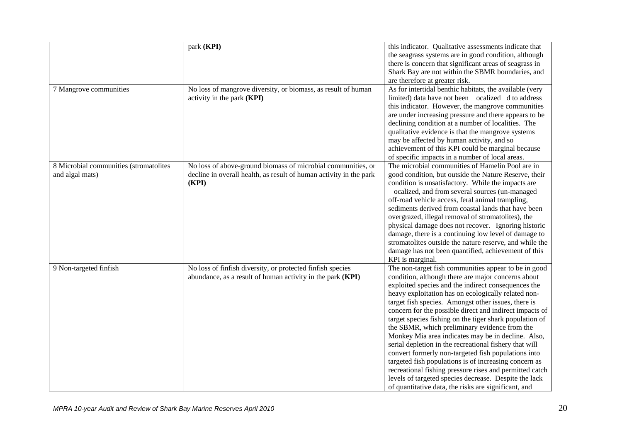|                                        | park (KPI)                                                         | this indicator. Qualitative assessments indicate that                                          |
|----------------------------------------|--------------------------------------------------------------------|------------------------------------------------------------------------------------------------|
|                                        |                                                                    | the seagrass systems are in good condition, although                                           |
|                                        |                                                                    | there is concern that significant areas of seagrass in                                         |
|                                        |                                                                    | Shark Bay are not within the SBMR boundaries, and                                              |
|                                        |                                                                    | are therefore at greater risk.                                                                 |
| 7 Mangrove communities                 | No loss of mangrove diversity, or biomass, as result of human      | As for intertidal benthic habitats, the available (very                                        |
|                                        | activity in the park (KPI)                                         | limited) data have not been ocalized d to address                                              |
|                                        |                                                                    | this indicator. However, the mangrove communities                                              |
|                                        |                                                                    | are under increasing pressure and there appears to be                                          |
|                                        |                                                                    | declining condition at a number of localities. The                                             |
|                                        |                                                                    | qualitative evidence is that the mangrove systems                                              |
|                                        |                                                                    |                                                                                                |
|                                        |                                                                    | may be affected by human activity, and so<br>achievement of this KPI could be marginal because |
|                                        |                                                                    |                                                                                                |
|                                        |                                                                    | of specific impacts in a number of local areas.                                                |
| 8 Microbial communities (stromatolites | No loss of above-ground biomass of microbial communities, or       | The microbial communities of Hamelin Pool are in                                               |
| and algal mats)                        | decline in overall health, as result of human activity in the park | good condition, but outside the Nature Reserve, their                                          |
|                                        | (KPI)                                                              | condition is unsatisfactory. While the impacts are                                             |
|                                        |                                                                    | ocalized, and from several sources (un-managed                                                 |
|                                        |                                                                    | off-road vehicle access, feral animal trampling,                                               |
|                                        |                                                                    | sediments derived from coastal lands that have been                                            |
|                                        |                                                                    | overgrazed, illegal removal of stromatolites), the                                             |
|                                        |                                                                    | physical damage does not recover. Ignoring historic                                            |
|                                        |                                                                    | damage, there is a continuing low level of damage to                                           |
|                                        |                                                                    | stromatolites outside the nature reserve, and while the                                        |
|                                        |                                                                    | damage has not been quantified, achievement of this                                            |
|                                        |                                                                    | KPI is marginal.                                                                               |
| 9 Non-targeted finfish                 | No loss of finfish diversity, or protected finfish species         | The non-target fish communities appear to be in good                                           |
|                                        | abundance, as a result of human activity in the park (KPI)         | condition, although there are major concerns about                                             |
|                                        |                                                                    | exploited species and the indirect consequences the                                            |
|                                        |                                                                    | heavy exploitation has on ecologically related non-                                            |
|                                        |                                                                    | target fish species. Amongst other issues, there is                                            |
|                                        |                                                                    | concern for the possible direct and indirect impacts of                                        |
|                                        |                                                                    | target species fishing on the tiger shark population of                                        |
|                                        |                                                                    | the SBMR, which preliminary evidence from the                                                  |
|                                        |                                                                    | Monkey Mia area indicates may be in decline. Also,                                             |
|                                        |                                                                    | serial depletion in the recreational fishery that will                                         |
|                                        |                                                                    | convert formerly non-targeted fish populations into                                            |
|                                        |                                                                    | targeted fish populations is of increasing concern as                                          |
|                                        |                                                                    | recreational fishing pressure rises and permitted catch                                        |
|                                        |                                                                    | levels of targeted species decrease. Despite the lack                                          |
|                                        |                                                                    | of quantitative data, the risks are significant, and                                           |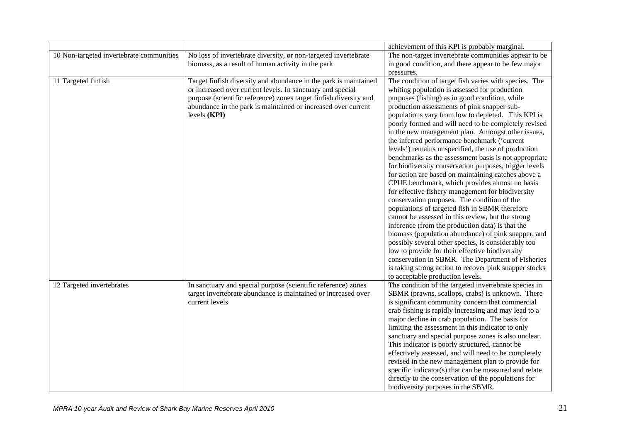|                                          |                                                                                                                                                                                                                                                                                      | achievement of this KPI is probably marginal.                                                                                                                                                                                                                                                                                                                                                                                                                                                                                                                                                                                                                                                                                                                                                                                                                                                                                                                                                                                                                                                                                                                                                                                                                                                    |
|------------------------------------------|--------------------------------------------------------------------------------------------------------------------------------------------------------------------------------------------------------------------------------------------------------------------------------------|--------------------------------------------------------------------------------------------------------------------------------------------------------------------------------------------------------------------------------------------------------------------------------------------------------------------------------------------------------------------------------------------------------------------------------------------------------------------------------------------------------------------------------------------------------------------------------------------------------------------------------------------------------------------------------------------------------------------------------------------------------------------------------------------------------------------------------------------------------------------------------------------------------------------------------------------------------------------------------------------------------------------------------------------------------------------------------------------------------------------------------------------------------------------------------------------------------------------------------------------------------------------------------------------------|
| 10 Non-targeted invertebrate communities | No loss of invertebrate diversity, or non-targeted invertebrate<br>biomass, as a result of human activity in the park                                                                                                                                                                | The non-target invertebrate communities appear to be<br>in good condition, and there appear to be few major<br>pressures.                                                                                                                                                                                                                                                                                                                                                                                                                                                                                                                                                                                                                                                                                                                                                                                                                                                                                                                                                                                                                                                                                                                                                                        |
| 11 Targeted finfish                      | Target finfish diversity and abundance in the park is maintained<br>or increased over current levels. In sanctuary and special<br>purpose (scientific reference) zones target finfish diversity and<br>abundance in the park is maintained or increased over current<br>levels (KPI) | The condition of target fish varies with species. The<br>whiting population is assessed for production<br>purposes (fishing) as in good condition, while<br>production assessments of pink snapper sub-<br>populations vary from low to depleted. This KPI is<br>poorly formed and will need to be completely revised<br>in the new management plan. Amongst other issues,<br>the inferred performance benchmark ('current<br>levels') remains unspecified, the use of production<br>benchmarks as the assessment basis is not appropriate<br>for biodiversity conservation purposes, trigger levels<br>for action are based on maintaining catches above a<br>CPUE benchmark, which provides almost no basis<br>for effective fishery management for biodiversity<br>conservation purposes. The condition of the<br>populations of targeted fish in SBMR therefore<br>cannot be assessed in this review, but the strong<br>inference (from the production data) is that the<br>biomass (population abundance) of pink snapper, and<br>possibly several other species, is considerably too<br>low to provide for their effective biodiversity<br>conservation in SBMR. The Department of Fisheries<br>is taking strong action to recover pink snapper stocks<br>to acceptable production levels. |
| 12 Targeted invertebrates                | In sanctuary and special purpose (scientific reference) zones<br>target invertebrate abundance is maintained or increased over<br>current levels                                                                                                                                     | The condition of the targeted invertebrate species in<br>SBMR (prawns, scallops, crabs) is unknown. There<br>is significant community concern that commercial<br>crab fishing is rapidly increasing and may lead to a<br>major decline in crab population. The basis for<br>limiting the assessment in this indicator to only<br>sanctuary and special purpose zones is also unclear.<br>This indicator is poorly structured, cannot be<br>effectively assessed, and will need to be completely<br>revised in the new management plan to provide for<br>specific indicator(s) that can be measured and relate<br>directly to the conservation of the populations for<br>biodiversity purposes in the SBMR.                                                                                                                                                                                                                                                                                                                                                                                                                                                                                                                                                                                       |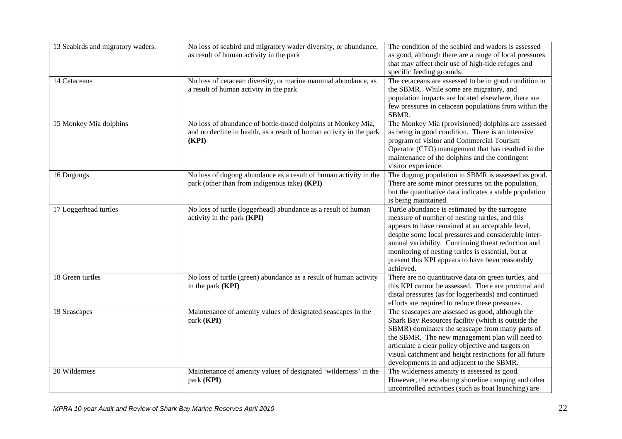| 13 Seabirds and migratory waders. | No loss of seabird and migratory wader diversity, or abundance,<br>as result of human activity in the park                                   | The condition of the seabird and waders is assessed<br>as good, although there are a range of local pressures<br>that may affect their use of high-tide refuges and<br>specific feeding grounds.                                                                                                                                                                                           |
|-----------------------------------|----------------------------------------------------------------------------------------------------------------------------------------------|--------------------------------------------------------------------------------------------------------------------------------------------------------------------------------------------------------------------------------------------------------------------------------------------------------------------------------------------------------------------------------------------|
| 14 Cetaceans                      | No loss of cetacean diversity, or marine mammal abundance, as<br>a result of human activity in the park                                      | The cetaceans are assessed to be in good condition in<br>the SBMR. While some are migratory, and<br>population impacts are located elsewhere, there are<br>few pressures in cetacean populations from within the<br>SBMR.                                                                                                                                                                  |
| 15 Monkey Mia dolphins            | No loss of abundance of bottle-nosed dolphins at Monkey Mia,<br>and no decline in health, as a result of human activity in the park<br>(KPI) | The Monkey Mia (provisioned) dolphins are assessed<br>as being in good condition. There is an intensive<br>program of visitor and Commercial Tourism<br>Operator (CTO) management that has resulted in the<br>maintenance of the dolphins and the contingent<br>visitor experience.                                                                                                        |
| 16 Dugongs                        | No loss of dugong abundance as a result of human activity in the<br>park (other than from indigenous take) (KPI)                             | The dugong population in SBMR is assessed as good.<br>There are some minor pressures on the population,<br>but the quantitative data indicates a stable population<br>is being maintained.                                                                                                                                                                                                 |
| 17 Loggerhead turtles             | No loss of turtle (loggerhead) abundance as a result of human<br>activity in the park (KPI)                                                  | Turtle abundance is estimated by the surrogate<br>measure of number of nesting turtles, and this<br>appears to have remained at an acceptable level,<br>despite some local pressures and considerable inter-<br>annual variability. Continuing threat reduction and<br>monitoring of nesting turtles is essential, but at<br>present this KPI appears to have been reasonably<br>achieved. |
| 18 Green turtles                  | No loss of turtle (green) abundance as a result of human activity<br>in the park (KPI)                                                       | There are no quantitative data on green turtles, and<br>this KPI cannot be assessed. There are proximal and<br>distal pressures (as for loggerheads) and continued<br>efforts are required to reduce these pressures.                                                                                                                                                                      |
| 19 Seascapes                      | Maintenance of amenity values of designated seascapes in the<br>park (KPI)                                                                   | The seascapes are assessed as good, although the<br>Shark Bay Resources facility (which is outside the<br>SBMR) dominates the seascape from many parts of<br>the SBMR. The new management plan will need to<br>articulate a clear policy objective and targets on<br>visual catchment and height restrictions for all future<br>developments in and adjacent to the SBMR.                  |
| 20 Wilderness                     | Maintenance of amenity values of designated 'wilderness' in the<br>park (KPI)                                                                | The wilderness amenity is assessed as good.<br>However, the escalating shoreline camping and other<br>uncontrolled activities (such as boat launching) are                                                                                                                                                                                                                                 |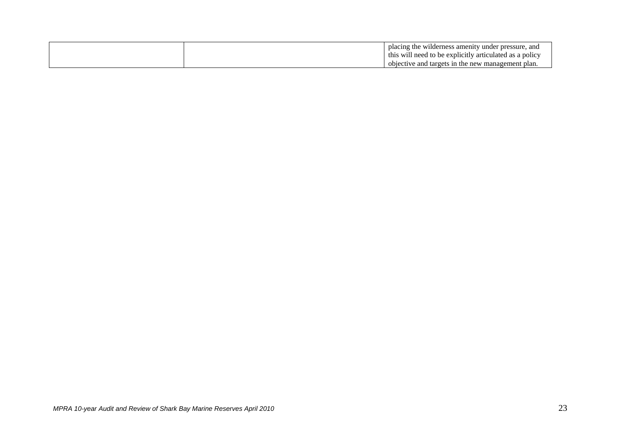| placing the wilderness amenity under pressure, and      |
|---------------------------------------------------------|
| this will need to be explicitly articulated as a policy |
| objective and targets in the new management plan.       |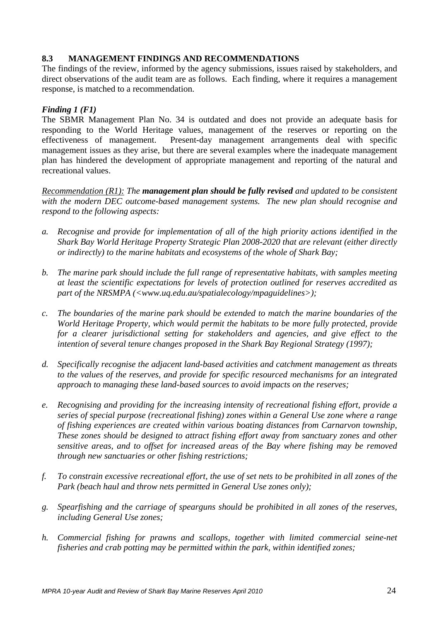## **8.3 MANAGEMENT FINDINGS AND RECOMMENDATIONS**

The findings of the review, informed by the agency submissions, issues raised by stakeholders, and direct observations of the audit team are as follows. Each finding, where it requires a management response, is matched to a recommendation.

#### *Finding 1 (F1)*

The SBMR Management Plan No. 34 is outdated and does not provide an adequate basis for responding to the World Heritage values, management of the reserves or reporting on the effectiveness of management. Present-day management arrangements deal with specific management issues as they arise, but there are several examples where the inadequate management plan has hindered the development of appropriate management and reporting of the natural and recreational values.

*Recommendation (R1): The management plan should be fully revised and updated to be consistent with the modern DEC outcome-based management systems. The new plan should recognise and respond to the following aspects:*

- *a. Recognise and provide for implementation of all of the high priority actions identified in the Shark Bay World Heritage Property Strategic Plan 2008-2020 that are relevant (either directly or indirectly) to the marine habitats and ecosystems of the whole of Shark Bay;*
- *b. The marine park should include the full range of representative habitats, with samples meeting at least the scientific expectations for levels of protection outlined for reserves accredited as part of the NRSMPA (<www.uq.edu.au/spatialecology/mpaguidelines>);*
- *c. The boundaries of the marine park should be extended to match the marine boundaries of the World Heritage Property, which would permit the habitats to be more fully protected, provide for a clearer jurisdictional setting for stakeholders and agencies, and give effect to the intention of several tenure changes proposed in the Shark Bay Regional Strategy (1997);*
- *d. Specifically recognise the adjacent land-based activities and catchment management as threats to the values of the reserves, and provide for specific resourced mechanisms for an integrated approach to managing these land-based sources to avoid impacts on the reserves;*
- *e. Recognising and providing for the increasing intensity of recreational fishing effort, provide a series of special purpose (recreational fishing) zones within a General Use zone where a range of fishing experiences are created within various boating distances from Carnarvon township, These zones should be designed to attract fishing effort away from sanctuary zones and other sensitive areas, and to offset for increased areas of the Bay where fishing may be removed through new sanctuaries or other fishing restrictions;*
- *f. To constrain excessive recreational effort, the use of set nets to be prohibited in all zones of the Park (beach haul and throw nets permitted in General Use zones only);*
- *g. Spearfishing and the carriage of spearguns should be prohibited in all zones of the reserves, including General Use zones;*
- *h. Commercial fishing for prawns and scallops, together with limited commercial seine-net fisheries and crab potting may be permitted within the park, within identified zones;*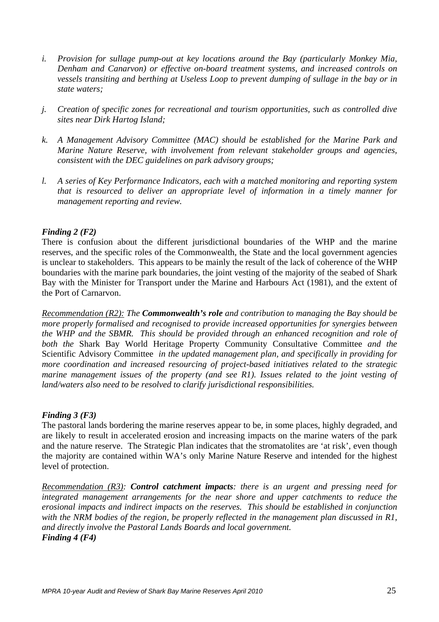- *i. Provision for sullage pump-out at key locations around the Bay (particularly Monkey Mia, Denham and Canarvon) or effective on-board treatment systems, and increased controls on vessels transiting and berthing at Useless Loop to prevent dumping of sullage in the bay or in state waters;*
- *j. Creation of specific zones for recreational and tourism opportunities, such as controlled dive sites near Dirk Hartog Island;*
- *k. A Management Advisory Committee (MAC) should be established for the Marine Park and Marine Nature Reserve, with involvement from relevant stakeholder groups and agencies, consistent with the DEC guidelines on park advisory groups;*
- *l. A series of Key Performance Indicators, each with a matched monitoring and reporting system that is resourced to deliver an appropriate level of information in a timely manner for management reporting and review.*

#### *Finding 2 (F2)*

There is confusion about the different jurisdictional boundaries of the WHP and the marine reserves, and the specific roles of the Commonwealth, the State and the local government agencies is unclear to stakeholders. This appears to be mainly the result of the lack of coherence of the WHP boundaries with the marine park boundaries, the joint vesting of the majority of the seabed of Shark Bay with the Minister for Transport under the Marine and Harbours Act (1981), and the extent of the Port of Carnarvon.

*Recommendation (R2): The Commonwealth's role and contribution to managing the Bay should be more properly formalised and recognised to provide increased opportunities for synergies between the WHP and the SBMR. This should be provided through an enhanced recognition and role of both the* Shark Bay World Heritage Property Community Consultative Committee *and the* Scientific Advisory Committee *in the updated management plan, and specifically in providing for more coordination and increased resourcing of project-based initiatives related to the strategic marine management issues of the property (and see R1). Issues related to the joint vesting of land/waters also need to be resolved to clarify jurisdictional responsibilities.* 

#### *Finding 3 (F3)*

The pastoral lands bordering the marine reserves appear to be, in some places, highly degraded, and are likely to result in accelerated erosion and increasing impacts on the marine waters of the park and the nature reserve. The Strategic Plan indicates that the stromatolites are 'at risk', even though the majority are contained within WA's only Marine Nature Reserve and intended for the highest level of protection.

*Recommendation (R3): Control catchment impacts: there is an urgent and pressing need for integrated management arrangements for the near shore and upper catchments to reduce the erosional impacts and indirect impacts on the reserves. This should be established in conjunction with the NRM bodies of the region, be properly reflected in the management plan discussed in R1, and directly involve the Pastoral Lands Boards and local government. Finding 4 (F4)*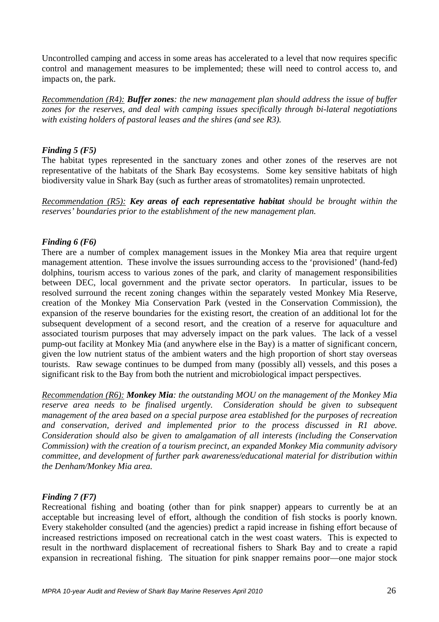Uncontrolled camping and access in some areas has accelerated to a level that now requires specific control and management measures to be implemented; these will need to control access to, and impacts on, the park.

*Recommendation (R4): Buffer zones: the new management plan should address the issue of buffer zones for the reserves, and deal with camping issues specifically through bi-lateral negotiations with existing holders of pastoral leases and the shires (and see R3).* 

#### *Finding 5 (F5)*

The habitat types represented in the sanctuary zones and other zones of the reserves are not representative of the habitats of the Shark Bay ecosystems. Some key sensitive habitats of high biodiversity value in Shark Bay (such as further areas of stromatolites) remain unprotected.

*Recommendation (R5): Key areas of each representative habitat should be brought within the reserves' boundaries prior to the establishment of the new management plan.* 

#### *Finding 6 (F6)*

There are a number of complex management issues in the Monkey Mia area that require urgent management attention. These involve the issues surrounding access to the 'provisioned' (hand-fed) dolphins, tourism access to various zones of the park, and clarity of management responsibilities between DEC, local government and the private sector operators. In particular, issues to be resolved surround the recent zoning changes within the separately vested Monkey Mia Reserve, creation of the Monkey Mia Conservation Park (vested in the Conservation Commission), the expansion of the reserve boundaries for the existing resort, the creation of an additional lot for the subsequent development of a second resort, and the creation of a reserve for aquaculture and associated tourism purposes that may adversely impact on the park values. The lack of a vessel pump-out facility at Monkey Mia (and anywhere else in the Bay) is a matter of significant concern, given the low nutrient status of the ambient waters and the high proportion of short stay overseas tourists. Raw sewage continues to be dumped from many (possibly all) vessels, and this poses a significant risk to the Bay from both the nutrient and microbiological impact perspectives.

*Recommendation (R6): Monkey Mia: the outstanding MOU on the management of the Monkey Mia reserve area needs to be finalised urgently. Consideration should be given to subsequent management of the area based on a special purpose area established for the purposes of recreation and conservation, derived and implemented prior to the process discussed in R1 above. Consideration should also be given to amalgamation of all interests (including the Conservation Commission) with the creation of a tourism precinct, an expanded Monkey Mia community advisory committee, and development of further park awareness/educational material for distribution within the Denham/Monkey Mia area.* 

## *Finding 7 (F7)*

Recreational fishing and boating (other than for pink snapper) appears to currently be at an acceptable but increasing level of effort, although the condition of fish stocks is poorly known. Every stakeholder consulted (and the agencies) predict a rapid increase in fishing effort because of increased restrictions imposed on recreational catch in the west coast waters. This is expected to result in the northward displacement of recreational fishers to Shark Bay and to create a rapid expansion in recreational fishing. The situation for pink snapper remains poor—one major stock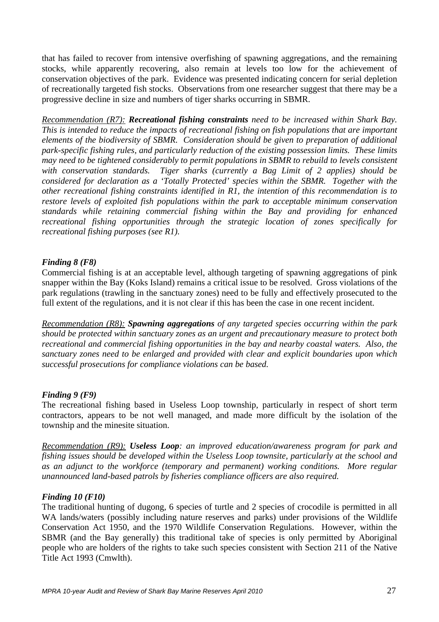that has failed to recover from intensive overfishing of spawning aggregations, and the remaining stocks, while apparently recovering, also remain at levels too low for the achievement of conservation objectives of the park. Evidence was presented indicating concern for serial depletion of recreationally targeted fish stocks. Observations from one researcher suggest that there may be a progressive decline in size and numbers of tiger sharks occurring in SBMR.

*Recommendation (R7): Recreational fishing constraints need to be increased within Shark Bay. This is intended to reduce the impacts of recreational fishing on fish populations that are important elements of the biodiversity of SBMR. Consideration should be given to preparation of additional park-specific fishing rules, and particularly reduction of the existing possession limits. These limits may need to be tightened considerably to permit populations in SBMR to rebuild to levels consistent with conservation standards. Tiger sharks (currently a Bag Limit of 2 applies) should be considered for declaration as a 'Totally Protected' species within the SBMR. Together with the other recreational fishing constraints identified in R1, the intention of this recommendation is to restore levels of exploited fish populations within the park to acceptable minimum conservation standards while retaining commercial fishing within the Bay and providing for enhanced recreational fishing opportunities through the strategic location of zones specifically for recreational fishing purposes (see R1).* 

## *Finding 8 (F8)*

Commercial fishing is at an acceptable level, although targeting of spawning aggregations of pink snapper within the Bay (Koks Island) remains a critical issue to be resolved. Gross violations of the park regulations (trawling in the sanctuary zones) need to be fully and effectively prosecuted to the full extent of the regulations, and it is not clear if this has been the case in one recent incident.

*Recommendation (R8): Spawning aggregations of any targeted species occurring within the park should be protected within sanctuary zones as an urgent and precautionary measure to protect both recreational and commercial fishing opportunities in the bay and nearby coastal waters. Also, the sanctuary zones need to be enlarged and provided with clear and explicit boundaries upon which successful prosecutions for compliance violations can be based.*

#### *Finding 9 (F9)*

The recreational fishing based in Useless Loop township, particularly in respect of short term contractors, appears to be not well managed, and made more difficult by the isolation of the township and the minesite situation.

*Recommendation (R9): Useless Loop: an improved education/awareness program for park and fishing issues should be developed within the Useless Loop townsite, particularly at the school and as an adjunct to the workforce (temporary and permanent) working conditions. More regular unannounced land-based patrols by fisheries compliance officers are also required.* 

#### *Finding 10 (F10)*

The traditional hunting of dugong, 6 species of turtle and 2 species of crocodile is permitted in all WA lands/waters (possibly including nature reserves and parks) under provisions of the Wildlife Conservation Act 1950, and the 1970 Wildlife Conservation Regulations. However, within the SBMR (and the Bay generally) this traditional take of species is only permitted by Aboriginal people who are holders of the rights to take such species consistent with Section 211 of the Native Title Act 1993 (Cmwlth).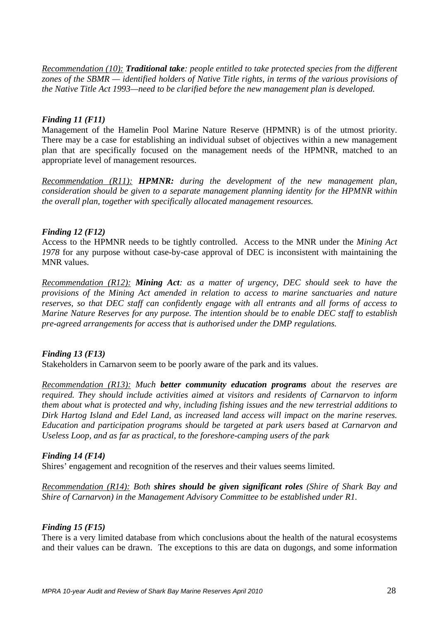*Recommendation (10): Traditional take: people entitled to take protected species from the different zones of the SBMR — identified holders of Native Title rights, in terms of the various provisions of the Native Title Act 1993—need to be clarified before the new management plan is developed.* 

#### *Finding 11 (F11)*

Management of the Hamelin Pool Marine Nature Reserve (HPMNR) is of the utmost priority. There may be a case for establishing an individual subset of objectives within a new management plan that are specifically focused on the management needs of the HPMNR, matched to an appropriate level of management resources.

*Recommendation (R11): HPMNR: during the development of the new management plan, consideration should be given to a separate management planning identity for the HPMNR within the overall plan, together with specifically allocated management resources.* 

#### *Finding 12 (F12)*

Access to the HPMNR needs to be tightly controlled. Access to the MNR under the *Mining Act 1978* for any purpose without case-by-case approval of DEC is inconsistent with maintaining the MNR values.

*Recommendation (R12): Mining Act: as a matter of urgency, DEC should seek to have the provisions of the Mining Act amended in relation to access to marine sanctuaries and nature reserves, so that DEC staff can confidently engage with all entrants and all forms of access to Marine Nature Reserves for any purpose. The intention should be to enable DEC staff to establish pre-agreed arrangements for access that is authorised under the DMP regulations.* 

#### *Finding 13 (F13)*

Stakeholders in Carnarvon seem to be poorly aware of the park and its values.

*Recommendation (R13): Much better community education programs about the reserves are required. They should include activities aimed at visitors and residents of Carnarvon to inform them about what is protected and why, including fishing issues and the new terrestrial additions to Dirk Hartog Island and Edel Land, as increased land access will impact on the marine reserves. Education and participation programs should be targeted at park users based at Carnarvon and Useless Loop, and as far as practical, to the foreshore-camping users of the park* 

#### *Finding 14 (F14)*

Shires' engagement and recognition of the reserves and their values seems limited.

*Recommendation (R14): Both shires should be given significant roles (Shire of Shark Bay and Shire of Carnarvon) in the Management Advisory Committee to be established under R1.* 

#### *Finding 15 (F15)*

There is a very limited database from which conclusions about the health of the natural ecosystems and their values can be drawn. The exceptions to this are data on dugongs, and some information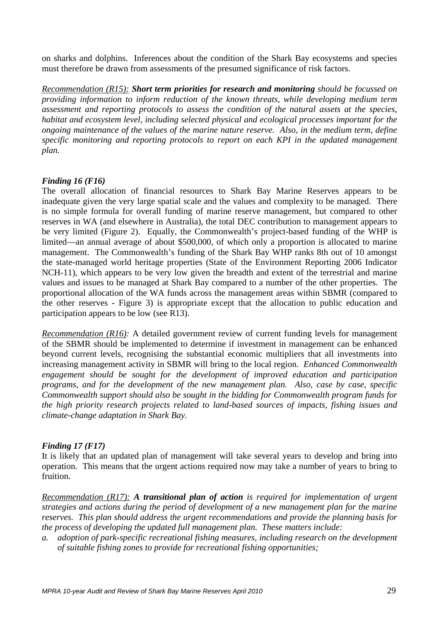on sharks and dolphins. Inferences about the condition of the Shark Bay ecosystems and species must therefore be drawn from assessments of the presumed significance of risk factors.

*Recommendation (R15): Short term priorities for research and monitoring should be focussed on providing information to inform reduction of the known threats, while developing medium term assessment and reporting protocols to assess the condition of the natural assets at the species, habitat and ecosystem level, including selected physical and ecological processes important for the ongoing maintenance of the values of the marine nature reserve. Also, in the medium term, define specific monitoring and reporting protocols to report on each KPI in the updated management plan.* 

#### *Finding 16 (F16)*

The overall allocation of financial resources to Shark Bay Marine Reserves appears to be inadequate given the very large spatial scale and the values and complexity to be managed. There is no simple formula for overall funding of marine reserve management, but compared to other reserves in WA (and elsewhere in Australia), the total DEC contribution to management appears to be very limited (Figure 2). Equally, the Commonwealth's project-based funding of the WHP is limited—an annual average of about \$500,000, of which only a proportion is allocated to marine management. The Commonwealth's funding of the Shark Bay WHP ranks 8th out of 10 amongst the state-managed world heritage properties (State of the Environment Reporting 2006 Indicator NCH-11), which appears to be very low given the breadth and extent of the terrestrial and marine values and issues to be managed at Shark Bay compared to a number of the other properties. The proportional allocation of the WA funds across the management areas within SBMR (compared to the other reserves - Figure 3) is appropriate except that the allocation to public education and participation appears to be low (see R13).

*Recommendation (R16):* A detailed government review of current funding levels for management of the SBMR should be implemented to determine if investment in management can be enhanced beyond current levels, recognising the substantial economic multipliers that all investments into increasing management activity in SBMR will bring to the local region. *Enhanced Commonwealth engagement should be sought for the development of improved education and participation programs, and for the development of the new management plan. Also, case by case, specific Commonwealth support should also be sought in the bidding for Commonwealth program funds for the high priority research projects related to land-based sources of impacts, fishing issues and climate-change adaptation in Shark Bay.* 

## *Finding 17 (F17)*

It is likely that an updated plan of management will take several years to develop and bring into operation. This means that the urgent actions required now may take a number of years to bring to fruition.

*Recommendation (R17): A transitional plan of action is required for implementation of urgent strategies and actions during the period of development of a new management plan for the marine reserves. This plan should address the urgent recommendations and provide the planning basis for the process of developing the updated full management plan. These matters include:* 

*a. adoption of park-specific recreational fishing measures, including research on the development of suitable fishing zones to provide for recreational fishing opportunities;*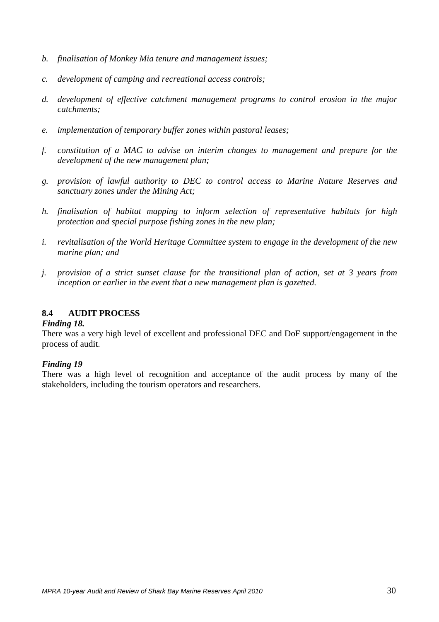- *b. finalisation of Monkey Mia tenure and management issues;*
- *c. development of camping and recreational access controls;*
- *d. development of effective catchment management programs to control erosion in the major catchments;*
- *e. implementation of temporary buffer zones within pastoral leases;*
- *f. constitution of a MAC to advise on interim changes to management and prepare for the development of the new management plan;*
- *g. provision of lawful authority to DEC to control access to Marine Nature Reserves and sanctuary zones under the Mining Act;*
- *h. finalisation of habitat mapping to inform selection of representative habitats for high protection and special purpose fishing zones in the new plan;*
- *i. revitalisation of the World Heritage Committee system to engage in the development of the new marine plan; and*
- *j. provision of a strict sunset clause for the transitional plan of action, set at 3 years from inception or earlier in the event that a new management plan is gazetted.*

## **8.4 AUDIT PROCESS**

#### *Finding 18.*

There was a very high level of excellent and professional DEC and DoF support/engagement in the process of audit.

## *Finding 19*

There was a high level of recognition and acceptance of the audit process by many of the stakeholders, including the tourism operators and researchers.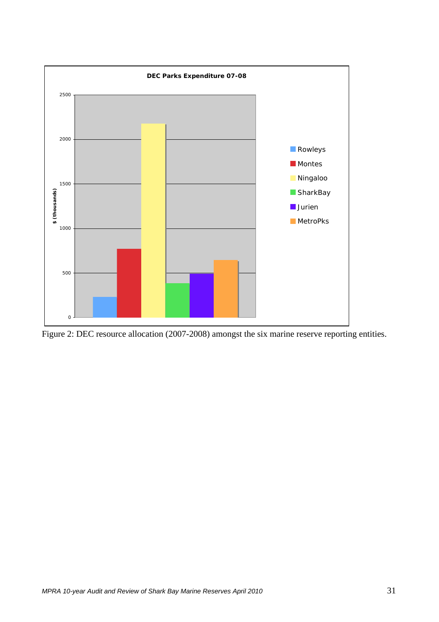

Figure 2: DEC resource allocation (2007-2008) amongst the six marine reserve reporting entities.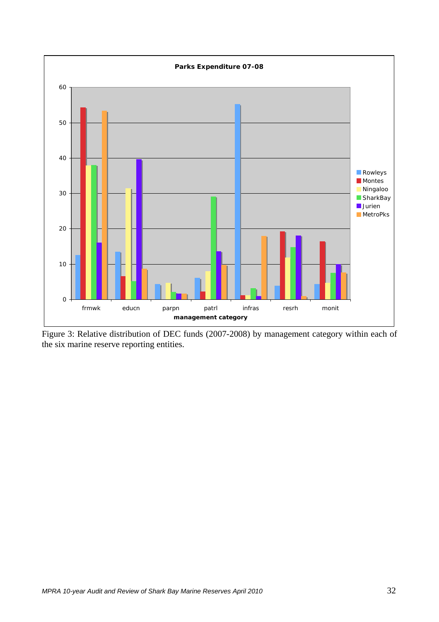

Figure 3: Relative distribution of DEC funds (2007-2008) by management category within each of the six marine reserve reporting entities.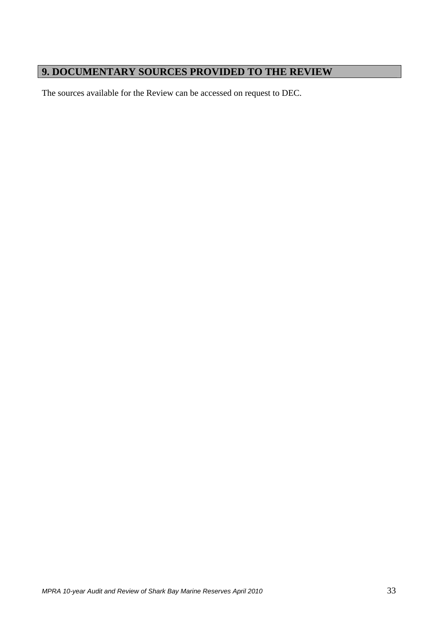## **9. DOCUMENTARY SOURCES PROVIDED TO THE REVIEW**

The sources available for the Review can be accessed on request to DEC.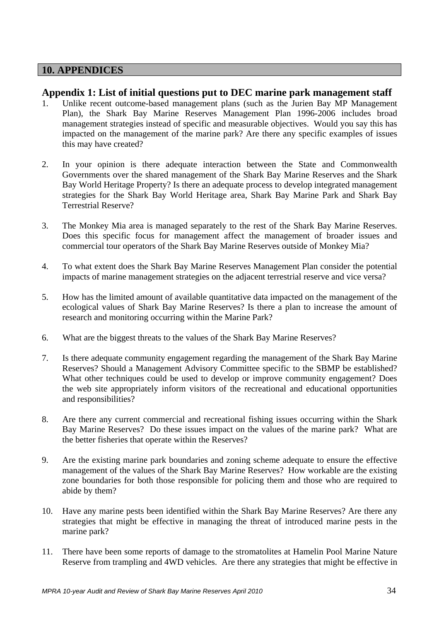## **10. APPENDICES**

## **Appendix 1: List of initial questions put to DEC marine park management staff**

- 1. Unlike recent outcome-based management plans (such as the Jurien Bay MP Management Plan), the Shark Bay Marine Reserves Management Plan 1996-2006 includes broad management strategies instead of specific and measurable objectives. Would you say this has impacted on the management of the marine park? Are there any specific examples of issues this may have created?
- 2. In your opinion is there adequate interaction between the State and Commonwealth Governments over the shared management of the Shark Bay Marine Reserves and the Shark Bay World Heritage Property? Is there an adequate process to develop integrated management strategies for the Shark Bay World Heritage area, Shark Bay Marine Park and Shark Bay Terrestrial Reserve?
- 3. The Monkey Mia area is managed separately to the rest of the Shark Bay Marine Reserves. Does this specific focus for management affect the management of broader issues and commercial tour operators of the Shark Bay Marine Reserves outside of Monkey Mia?
- 4. To what extent does the Shark Bay Marine Reserves Management Plan consider the potential impacts of marine management strategies on the adjacent terrestrial reserve and vice versa?
- 5. How has the limited amount of available quantitative data impacted on the management of the ecological values of Shark Bay Marine Reserves? Is there a plan to increase the amount of research and monitoring occurring within the Marine Park?
- 6. What are the biggest threats to the values of the Shark Bay Marine Reserves?
- 7. Is there adequate community engagement regarding the management of the Shark Bay Marine Reserves? Should a Management Advisory Committee specific to the SBMP be established? What other techniques could be used to develop or improve community engagement? Does the web site appropriately inform visitors of the recreational and educational opportunities and responsibilities?
- 8. Are there any current commercial and recreational fishing issues occurring within the Shark Bay Marine Reserves? Do these issues impact on the values of the marine park? What are the better fisheries that operate within the Reserves?
- 9. Are the existing marine park boundaries and zoning scheme adequate to ensure the effective management of the values of the Shark Bay Marine Reserves? How workable are the existing zone boundaries for both those responsible for policing them and those who are required to abide by them?
- 10. Have any marine pests been identified within the Shark Bay Marine Reserves? Are there any strategies that might be effective in managing the threat of introduced marine pests in the marine park?
- 11. There have been some reports of damage to the stromatolites at Hamelin Pool Marine Nature Reserve from trampling and 4WD vehicles. Are there any strategies that might be effective in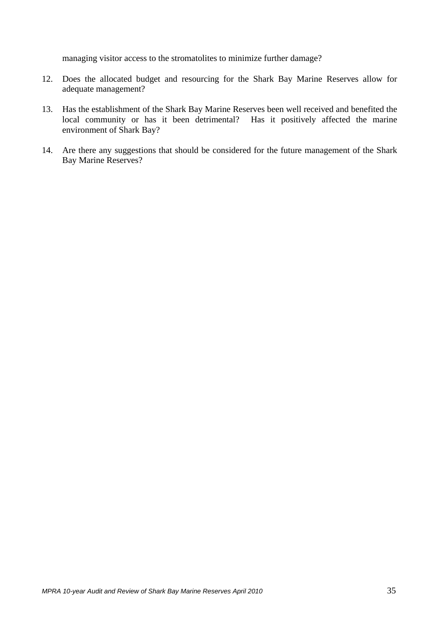managing visitor access to the stromatolites to minimize further damage?

- 12. Does the allocated budget and resourcing for the Shark Bay Marine Reserves allow for adequate management?
- 13. Has the establishment of the Shark Bay Marine Reserves been well received and benefited the local community or has it been detrimental? Has it positively affected the marine environment of Shark Bay?
- 14. Are there any suggestions that should be considered for the future management of the Shark Bay Marine Reserves?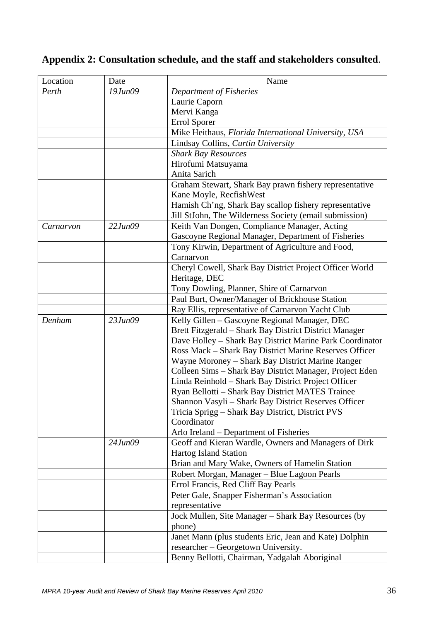## **Appendix 2: Consultation schedule, and the staff and stakeholders consulted**.

| Location  | Date          | Name                                                     |
|-----------|---------------|----------------------------------------------------------|
| Perth     | $19$ Jun $09$ | Department of Fisheries                                  |
|           |               | Laurie Caporn                                            |
|           |               | Mervi Kanga                                              |
|           |               | <b>Errol Sporer</b>                                      |
|           |               | Mike Heithaus, Florida International University, USA     |
|           |               | Lindsay Collins, Curtin University                       |
|           |               | <b>Shark Bay Resources</b>                               |
|           |               | Hirofumi Matsuyama                                       |
|           |               | Anita Sarich                                             |
|           |               | Graham Stewart, Shark Bay prawn fishery representative   |
|           |               | Kane Moyle, RecfishWest                                  |
|           |               | Hamish Ch'ng, Shark Bay scallop fishery representative   |
|           |               | Jill StJohn, The Wilderness Society (email submission)   |
| Carnarvon | 22 Jun09      | Keith Van Dongen, Compliance Manager, Acting             |
|           |               | Gascoyne Regional Manager, Department of Fisheries       |
|           |               | Tony Kirwin, Department of Agriculture and Food,         |
|           |               | Carnarvon                                                |
|           |               | Cheryl Cowell, Shark Bay District Project Officer World  |
|           |               | Heritage, DEC                                            |
|           |               | Tony Dowling, Planner, Shire of Carnarvon                |
|           |               | Paul Burt, Owner/Manager of Brickhouse Station           |
|           |               | Ray Ellis, representative of Carnarvon Yacht Club        |
| Denham    | 23 Jun09      | Kelly Gillen - Gascoyne Regional Manager, DEC            |
|           |               | Brett Fitzgerald - Shark Bay District District Manager   |
|           |               | Dave Holley - Shark Bay District Marine Park Coordinator |
|           |               | Ross Mack - Shark Bay District Marine Reserves Officer   |
|           |               | Wayne Moroney – Shark Bay District Marine Ranger         |
|           |               | Colleen Sims - Shark Bay District Manager, Project Eden  |
|           |               | Linda Reinhold - Shark Bay District Project Officer      |
|           |               | Ryan Bellotti - Shark Bay District MATES Trainee         |
|           |               | Shannon Vasyli - Shark Bay District Reserves Officer     |
|           |               | Tricia Sprigg - Shark Bay District, District PVS         |
|           |               | Coordinator                                              |
|           |               | Arlo Ireland – Department of Fisheries                   |
|           | 24 Jun09      | Geoff and Kieran Wardle, Owners and Managers of Dirk     |
|           |               | Hartog Island Station                                    |
|           |               | Brian and Mary Wake, Owners of Hamelin Station           |
|           |               | Robert Morgan, Manager - Blue Lagoon Pearls              |
|           |               | Errol Francis, Red Cliff Bay Pearls                      |
|           |               | Peter Gale, Snapper Fisherman's Association              |
|           |               | representative                                           |
|           |               | Jock Mullen, Site Manager - Shark Bay Resources (by      |
|           |               | phone)                                                   |
|           |               | Janet Mann (plus students Eric, Jean and Kate) Dolphin   |
|           |               | researcher – Georgetown University.                      |
|           |               | Benny Bellotti, Chairman, Yadgalah Aboriginal            |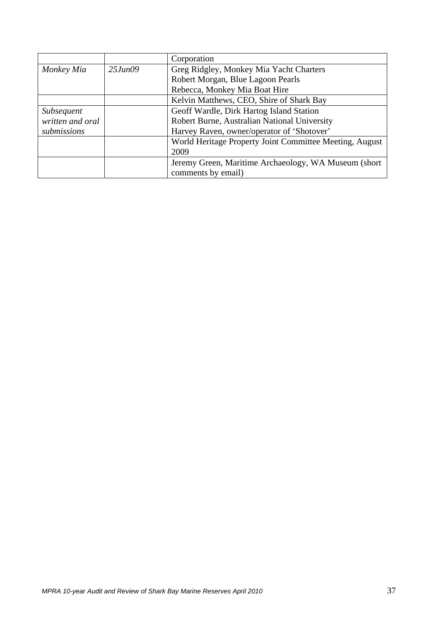|                                                                  |               | Corporation                                             |  |
|------------------------------------------------------------------|---------------|---------------------------------------------------------|--|
| Monkey Mia                                                       | $25$ Jun $09$ | Greg Ridgley, Monkey Mia Yacht Charters                 |  |
|                                                                  |               | Robert Morgan, Blue Lagoon Pearls                       |  |
|                                                                  |               | Rebecca, Monkey Mia Boat Hire                           |  |
|                                                                  |               | Kelvin Matthews, CEO, Shire of Shark Bay                |  |
| Geoff Wardle, Dirk Hartog Island Station<br><i>Subsequent</i>    |               |                                                         |  |
| written and oral<br>Robert Burne, Australian National University |               |                                                         |  |
| submissions                                                      |               | Harvey Raven, owner/operator of 'Shotover'              |  |
|                                                                  |               | World Heritage Property Joint Committee Meeting, August |  |
|                                                                  |               | 2009                                                    |  |
|                                                                  |               | Jeremy Green, Maritime Archaeology, WA Museum (short)   |  |
|                                                                  |               | comments by email)                                      |  |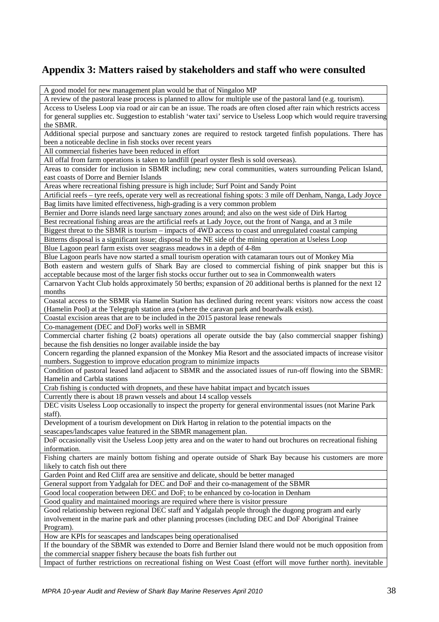## **Appendix 3: Matters raised by stakeholders and staff who were consulted**

| A good model for new management plan would be that of Ningaloo MP                                                                                        |
|----------------------------------------------------------------------------------------------------------------------------------------------------------|
| A review of the pastoral lease process is planned to allow for multiple use of the pastoral land (e.g. tourism).                                         |
| Access to Useless Loop via road or air can be an issue. The roads are often closed after rain which restricts access                                     |
| for general supplies etc. Suggestion to establish 'water taxi' service to Useless Loop which would require traversing                                    |
| the SBMR.                                                                                                                                                |
| Additional special purpose and sanctuary zones are required to restock targeted finfish populations. There has                                           |
| been a noticeable decline in fish stocks over recent years                                                                                               |
| All commercial fisheries have been reduced in effort                                                                                                     |
| All offal from farm operations is taken to landfill (pearl oyster flesh is sold overseas).                                                               |
| Areas to consider for inclusion in SBMR including; new coral communities, waters surrounding Pelican Island,<br>east coasts of Dorre and Bernier Islands |
| Areas where recreational fishing pressure is high include; Surf Point and Sandy Point                                                                    |
| Artificial reefs - tyre reefs, operate very well as recreational fishing spots: 3 mile off Denham, Nanga, Lady Joyce                                     |
| Bag limits have limited effectiveness, high-grading is a very common problem                                                                             |
| Bernier and Dorre islands need large sanctuary zones around; and also on the west side of Dirk Hartog                                                    |
| Best recreational fishing areas are the artificial reefs at Lady Joyce, out the front of Nanga, and at 3 mile                                            |
| Biggest threat to the SBMR is tourism – impacts of 4WD access to coast and unregulated coastal camping                                                   |
| Bitterns disposal is a significant issue; disposal to the NE side of the mining operation at Useless Loop                                                |
|                                                                                                                                                          |
| Blue Lagoon pearl farm exists over seagrass meadows in a depth of 4-8m                                                                                   |
| Blue Lagoon pearls have now started a small tourism operation with catamaran tours out of Monkey Mia                                                     |
| Both eastern and western gulfs of Shark Bay are closed to commercial fishing of pink snapper but this is                                                 |
| acceptable because most of the larger fish stocks occur further out to sea in Commonwealth waters                                                        |
| Carnarvon Yacht Club holds approximately 50 berths; expansion of 20 additional berths is planned for the next 12                                         |
| months                                                                                                                                                   |
| Coastal access to the SBMR via Hamelin Station has declined during recent years: visitors now access the coast                                           |
| (Hamelin Pool) at the Telegraph station area (where the caravan park and boardwalk exist).                                                               |
| Coastal excision areas that are to be included in the 2015 pastoral lease renewals                                                                       |
| Co-management (DEC and DoF) works well in SBMR                                                                                                           |
| Commercial charter fishing (2 boats) operations all operate outside the bay (also commercial snapper fishing)                                            |
| because the fish densities no longer available inside the bay                                                                                            |
| Concern regarding the planned expansion of the Monkey Mia Resort and the associated impacts of increase visitor                                          |
| numbers. Suggestion to improve education program to minimize impacts                                                                                     |
| Condition of pastoral leased land adjacent to SBMR and the associated issues of run-off flowing into the SBMR:                                           |
| Hamelin and Carbla stations                                                                                                                              |
| Crab fishing is conducted with dropnets, and these have habitat impact and bycatch issues                                                                |
| Currently there is about 18 prawn vessels and about 14 scallop vessels                                                                                   |
| DEC visits Useless Loop occasionally to inspect the property for general environmental issues (not Marine Park                                           |
| staff).                                                                                                                                                  |
| Development of a tourism development on Dirk Hartog in relation to the potential impacts on the                                                          |
| seascapes/landscapes value featured in the SBMR management plan.                                                                                         |
| DoF occasionally visit the Useless Loop jetty area and on the water to hand out brochures on recreational fishing                                        |
| information.                                                                                                                                             |
| Fishing charters are mainly bottom fishing and operate outside of Shark Bay because his customers are more                                               |
| likely to catch fish out there                                                                                                                           |
| Garden Point and Red Cliff area are sensitive and delicate, should be better managed                                                                     |
| General support from Yadgalah for DEC and DoF and their co-management of the SBMR                                                                        |
| Good local cooperation between DEC and DoF; to be enhanced by co-location in Denham                                                                      |
| Good quality and maintained moorings are required where there is visitor pressure                                                                        |
| Good relationship between regional DEC staff and Yadgalah people through the dugong program and early                                                    |
| involvement in the marine park and other planning processes (including DEC and DoF Aboriginal Trainee                                                    |
| Program).                                                                                                                                                |
| How are KPIs for seascapes and landscapes being operationalised                                                                                          |
| If the boundary of the SBMR was extended to Dorre and Bernier Island there would not be much opposition from                                             |
| the commercial snapper fishery because the boats fish further out                                                                                        |
| Impact of further restrictions on recreational fishing on West Coast (effort will move further north). inevitable                                        |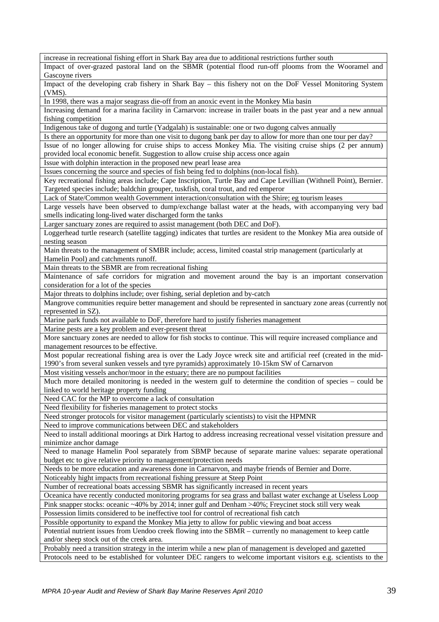increase in recreational fishing effort in Shark Bay area due to additional restrictions further south

Impact of over-grazed pastoral land on the SBMR (potential flood run-off plooms from the Wooramel and Gascoyne rivers

Impact of the developing crab fishery in Shark Bay – this fishery not on the DoF Vessel Monitoring System (VMS).

In 1998, there was a major seagrass die-off from an anoxic event in the Monkey Mia basin

Increasing demand for a marina facility in Carnarvon: increase in trailer boats in the past year and a new annual fishing competition

Indigenous take of dugong and turtle (Yadgalah) is sustainable: one or two dugong calves annually

Is there an opportunity for more than one visit to dugong bank per day to allow for more than one tour per day? Issue of no longer allowing for cruise ships to access Monkey Mia. The visiting cruise ships (2 per annum) provided local economic benefit. Suggestion to allow cruise ship access once again

Issue with dolphin interaction in the proposed new pearl lease area

Issues concerning the source and species of fish being fed to dolphins (non-local fish).

Key recreational fishing areas include; Cape Inscription, Turtle Bay and Cape Levillian (Withnell Point), Bernier. Targeted species include; baldchin grouper, tuskfish, coral trout, and red emperor

Lack of State/Common wealth Government interaction/consultation with the Shire; eg tourism leases

Large vessels have been observed to dump/exchange ballast water at the heads, with accompanying very bad smells indicating long-lived water discharged form the tanks

Larger sanctuary zones are required to assist management (both DEC and DoF).

Loggerhead turtle research (satellite tagging) indicates that turtles are resident to the Monkey Mia area outside of nesting season

Main threats to the management of SMBR include; access, limited coastal strip management (particularly at Hamelin Pool) and catchments runoff.

Main threats to the SBMR are from recreational fishing

Maintenance of safe corridors for migration and movement around the bay is an important conservation consideration for a lot of the species

Major threats to dolphins include; over fishing, serial depletion and by-catch

Mangrove communities require better management and should be represented in sanctuary zone areas (currently not represented in SZ).

Marine park funds not available to DoF, therefore hard to justify fisheries management

Marine pests are a key problem and ever-present threat

More sanctuary zones are needed to allow for fish stocks to continue. This will require increased compliance and management resources to be effective.

Most popular recreational fishing area is over the Lady Joyce wreck site and artificial reef (created in the mid-1990's from several sunken vessels and tyre pyramids) approximately 10-15km SW of Carnarvon

Most visiting vessels anchor/moor in the estuary; there are no pumpout facilities

Much more detailed monitoring is needed in the western gulf to determine the condition of species – could be linked to world heritage property funding

Need CAC for the MP to overcome a lack of consultation

Need flexibility for fisheries management to protect stocks

Need stronger protocols for visitor management (particularly scientists) to visit the HPMNR

Need to improve communications between DEC and stakeholders

Need to install additional moorings at Dirk Hartog to address increasing recreational vessel visitation pressure and minimize anchor damage

Need to manage Hamelin Pool separately from SBMP because of separate marine values: separate operational budget etc to give relative priority to management/protection needs

Needs to be more education and awareness done in Carnarvon, and maybe friends of Bernier and Dorre.

Noticeably hight impacts from recreational fishing pressure at Steep Point

Number of recreational boats accessing SBMR has significantly increased in recent years

Oceanica have recently conducted monitoring programs for sea grass and ballast water exchange at Useless Loop Pink snapper stocks: oceanic ~40% by 2014; inner gulf and Denham >40%; Freycinet stock still very weak

Possession limits considered to be ineffective tool for control of recreational fish catch

Possible opportunity to expand the Monkey Mia jetty to allow for public viewing and boat access

Potential nutrient issues from Uendoo creek flowing into the SBMR – currently no management to keep cattle and/or sheep stock out of the creek area.

Probably need a transition strategy in the interim while a new plan of management is developed and gazetted Protocols need to be established for volunteer DEC rangers to welcome important visitors e.g. scientists to the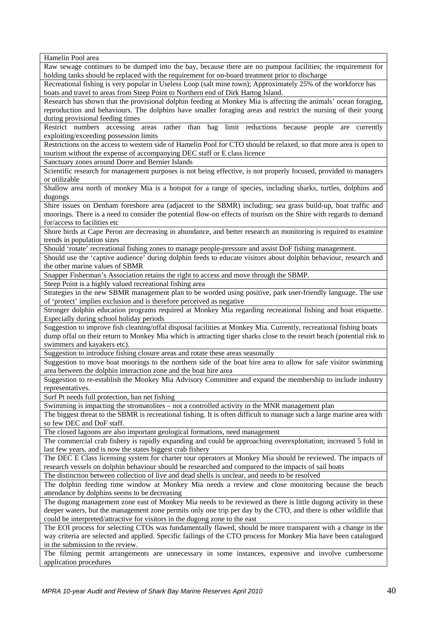Hamelin Pool area Raw sewage continues to be dumped into the bay, because there are no pumpout facilities; the requirement for holding tanks should be replaced with the requirement for on-board treatment prior to discharge Recreational fishing is very popular in Useless Loop (salt mine town); Approximately 25% of the workforce has boats and travel to areas from Steep Point to Northern end of Dirk Hartog Island. Research has shown that the provisional dolphin feeding at Monkey Mia is affecting the animals' ocean foraging, reproduction and behaviours. The dolphins have smaller foraging areas and restrict the nursing of their young during provisional feeding times Restrict numbers accessing areas rather than bag limit reductions because people are currently exploiting/exceeding possession limits Restrictions on the access to western side of Hamelin Pool for CTO should be relaxed, so that more area is open to tourism without the expense of accompanying DEC staff or E class licence Sanctuary zones around Dorre and Bernier Islands Scientific research for management purposes is not being effective, is not properly focused, provided to managers or utilizable Shallow area north of monkey Mia is a hotspot for a range of species, including sharks, turtles, dolphins and dugongs Shire issues on Denham foreshore area (adjacent to the SBMR) including; sea grass build-up, boat traffic and moorings. There is a need to consider the potential flow-on effects of tourism on the Shire with regards to demand for/access to facilities etc Shore birds at Cape Peron are decreasing in abundance, and better research an monitoring is required to examine trends in population sizes Should 'rotate' recreational fishing zones to manage people-pressure and assist DoF fishing management. Should use the 'captive audience' during dolphin feeds to educate visitors about dolphin behaviour, research and the other marine values of SBMR Snapper Fisherman's Association retains the right to access and move through the SBMP. Steep Point is a highly valued recreational fishing area Strategies in the new SBMR management plan to be worded using positive, park user-friendly language. The use of 'protect' implies exclusion and is therefore perceived as negative Stronger dolphin education programs required at Monkey Mia regarding recreational fishing and boat etiquette. Especially during school holiday periods Suggestion to improve fish cleaning/offal disposal facilities at Monkey Mia. Currently, recreational fishing boats dump offal on their return to Monkey Mia which is attracting tiger sharks close to the resort beach (potential risk to swimmers and kayakers etc). Suggestion to introduce fishing closure areas and rotate these areas seasonally Suggestion to move boat moorings to the northern side of the boat hire area to allow for safe visitor swimming area between the dolphin interaction zone and the boat hire area Suggestion to re-establish the Monkey Mia Advisory Committee and expand the membership to include industry representatives. Surf Pt needs full protection, ban net fishing Swimming is impacting the stromatolites – not a controlled activity in the MNR management plan The biggest threat to the SBMR is recreational fishing. It is often difficult to manage such a large marine area with so few DEC and DoF staff. The closed lagoons are also important geological formations, need management The commercial crab fishery is rapidly expanding and could be approaching overexploitation; increased 5 fold in last few years, and is now the states biggest crab fishery The DEC E Class licensing system for charter tour operators at Monkey Mia should be reviewed. The impacts of research vessels on dolphin behaviour should be researched and compared to the impacts of sail boats The distinction between collection of live and dead shells is unclear, and needs to be resolved The dolphin feeding time window at Monkey Mia needs a review and close monitoring because the beach attendance by dolphins seems to be decreasing The dugong management zone east of Monkey Mia needs to be reviewed as there is little dugong activity in these deeper waters, but the management zone permits only one trip per day by the CTO, and there is other wildlife that could be interpreted/attractive for visitors in the dugong zone to the east The EOI process for selecting CTOs was fundamentally flawed, should be more transparent with a change in the way criteria are selected and applied. Specific failings of the CTO process for Monkey Mia have been catalogued in the submission to the review. The filming permit arrangements are unnecessary in some instances, expensive and involve cumbersome application procedures